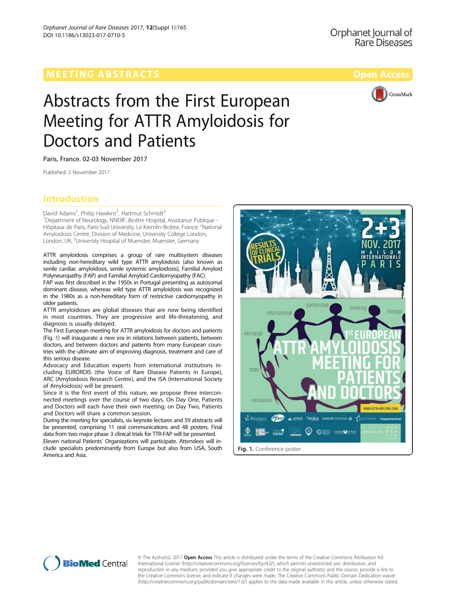CrossMark

# Abstracts from the First European Meeting for ATTR Amyloidosis for Doctors and Patients

Paris, France. 02-03 November 2017

Published: 2 November 2017

### Introduction

David Adams<sup>1</sup>, Philip Hawkins<sup>2</sup>, Hartmut Schmidt<sup>3</sup>

<sup>1</sup>Department of Neurology, NNERF, Bicêtre Hospital, Assistance Publique -Hôpitaux de Paris, Paris-Sud University, Le Kremlin-Bicêtre, France; <sup>2</sup>National Amyloidosis Centre, Division of Medicine, University College London, London, UK; <sup>3</sup>University Hospital of Muenster, Muenster, Germany

ATTR amyloidosis comprises a group of rare multisystem diseases including non-hereditary wild type ATTR amyloidosis (also known as senile cardiac amyloidosis, senile systemic amyloidosis), Familial Amyloid Polyneuropathy (FAP) and Familial Amyloid Cardiomyopathy (FAC).

FAP was first described in the 1950s in Portugal presenting as autosomal dominant disease, whereas wild type ATTR amyloidosis was recognized in the 1980s as a non-hereditary form of restrictive cardiomyopathy in older patients.

ATTR amyloidoses are global diseases that are now being identified in most countries. They are progressive and life-threatening, and diagnosis is usually delayed.

The First European meeting for ATTR amyloidosis for doctors and patients (Fig. 1) will inaugurate a new era in relations between patients, between doctors, and between doctors and patients from many European countries with the ultimate aim of improving diagnosis, treatment and care of this serious disease.

Advocacy and Education experts from international institutions including EURORDIS (the Voice of Rare Disease Patients in Europe), ARC (Amyloidosis Research Centre), and the ISA (International Society of Amyloidosis) will be present.

Since it is the first event of this nature, we propose three interconnected meetings over the course of two days. On Day One, Patients and Doctors will each have their own meeting; on Day Two, Patients and Doctors will share a common session.

During the meeting for specialists, six keynote lectures and 59 abstracts will be presented, comprising 11 oral communications and 48 posters. Final data from two major phase 3 clinical trials for TTR-FAP will be presented.

Eleven national Patients' Organizations will participate. Attendees will include specialists predominantly from Europe but also from USA, South America and Asia.

meeting therany international innovation **WWW.ATTR-MEETING.COM** 2 Alnylam **Prizer** NIONIS <sup>H</sup>eidos Fig. 1. Conference poster



© The Author(s). 2017 Open Access This article is distributed under the terms of the Creative Commons Attribution 4.0 International License ([http://creativecommons.org/licenses/by/4.0/\)](http://creativecommons.org/licenses/by/4.0/), which permits unrestricted use, distribution, and reproduction in any medium, provided you give appropriate credit to the original author(s) and the source, provide a link to the Creative Commons license, and indicate if changes were made. The Creative Commons Public Domain Dedication waiver ([http://creativecommons.org/publicdomain/zero/1.0/\)](http://creativecommons.org/publicdomain/zero/1.0/) applies to the data made available in this article, unless otherwise stated.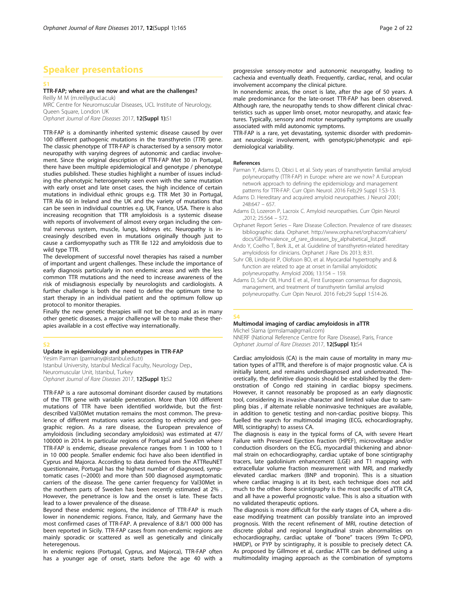# Speaker presentations

#### S1

#### TTR-FAP; where are we now and what are the challenges? Reilly M M (m.reilly@ucl.ac.uk)

MRC Centre for Neuromuscular Diseases, UCL Institute of Neurology, Queen Square, London UK Orphanet Journal of Rare Diseases 2017, 12(Suppl 1):S1

TTR-FAP is a dominantly inherited systemic disease caused by over 100 different pathogenic mutations in the transthyretin (TTR) gene. The classic phenotype of TTR-FAP is characterised by a sensory motor neuropathy with varying degrees of autonomic and cardiac involvement. Since the original description of TTR-FAP Met 30 in Portugal, there have been multiple epidemiological and genotype / phenotype studies published. These studies highlight a number of issues including the phenotypic heterogeneity seen even with the same mutation with early onset and late onset cases, the high incidence of certain mutations in individual ethnic groups e.g. TTR Met 30 in Portugal, TTR Ala 60 in Ireland and the UK and the variety of mutations that can be seen in individual countries e.g. UK, France, USA. There is also increasing recognition that TTR amyloidosis is a systemic disease with reports of involvement of almost every organ including the central nervous system, muscle, lungs, kidneys etc. Neuropathy is increasingly described even in mutations originally though just to cause a cardiomyopathy such as TTR Ile 122 and amyloidosis due to wild type TTR.

The development of successful novel therapies has raised a number of important and urgent challenges. These include the importance of early diagnosis particularly in non endemic areas and with the less common TTR mutations and the need to increase awareness of the risk of misdiagnosis especially by neurologists and cardiologists. A further challenge is both the need to define the optimum time to start therapy in an individual patient and the optimum follow up protocol to monitor therapies.

Finally the new genetic therapies will not be cheap and as in many other genetic diseases, a major challenge will be to make these therapies available in a cost effective way internationally.

### S2

### Update in epidemiology and phenotypes in TTR-FAP

Yesim Parman (parmany@istanbul.edu.tr) Istanbul University, Istanbul Medical Faculty, Neurology Dep., Neuromuscular Unit, Istanbul, Turkey Orphanet Journal of Rare Diseases 2017, 12(Suppl 1):S2

TTR-FAP is a rare autosomal dominant disorder caused by mutations of the TTR gene with variable penetration. More than 100 different mutations of TTR have been identified worldwide, but the firstdescribed Val30Met mutation remains the most common. The prevalence of different mutations varies according to ethnicity and geographic region. As a rare disease, the European prevalence of amyloidosis (including secondary amyloidosis) was estimated at 47/ 100000 in 2014. In particular regions of Portugal and Sweden where TTR-FAP is endemic, disease prevalence ranges from 1 in 1000 to 1 in 10 000 people. Smaller endemic foci have also been identified in Cyprus and Majorca. According to data derived from the ATTReuNET questionnaire, Portugal has the highest number of diagnosed, symptomatic cases (~2000) and more than 500 diagnosed asymptomatic carriers of the disease. The gene carrier frequency for Val30Met in the northern parts of Sweden has been recently estimated at 2% . However, the penetrance is low and the onset is late. These facts lead to a lower prevalence of the disease.

Beyond these endemic regions, the incidence of TTR-FAP is much lower in nonendemic regions. France, Italy, and Germany have the most confirmed cases of TTR-FAP. A prevalence of 8.8/1 000 000 has been reported in Sicily. TTR-FAP cases from non-endemic regions are mainly sporadic or scattered as well as genetically and clinically heteregenous.

In endemic regions (Portugal, Cyprus, and Majorca), TTR-FAP often has a younger age of onset, starts before the age 40 with a In nonendemic areas, the onset is late, after the age of 50 years. A male predominance for the late-onset TTR-FAP has been observed. Although rare, the neuropathy tends to show different clinical chracteristics such as upper limb onset, motor neuropathy, and ataxic features. Typically, sensory and motor neuropathy symptoms are usually associated with mild autonomic symptoms.

TTR-FAP is a rare, yet devastating, systemic disorder with predominant neurologic involvement, with genotypic/phenotypic and epidemiological variability.

#### References

- Parman Y, Adams D, Obici L et al. Sixty years of transthyretin familial amyloid polyneuropathy (TTR-FAP) in Europe: where are we now? A European network approach to defining the epidemiology and management patterns for TTR-FAP. Curr Opin Neurol. 2016 Feb;29 Suppl 1:S3-13.
- Adams D. Hereditary and acquired amyloid neuropathies. J Neurol 2001; 248:647 – 657.
- Adams D, Lozeron P, Lacroix C. Amyloid neuropathies. Curr Opin Neurol .,2012; 25:564 – 572.
- Orphanet Report Series Rare Disease Collection. Prevalence of rare diseases: bibliographic data. Orphanet. [http://www.orpha.net/orphacom/cahiers/](http://www.orpha.net/orphacom/cahiers/docs/GB/Prevalence_of_rare_diseases_by_alphabetical_list.pdf) [docs/GB/Prevalence\\_of\\_rare\\_diseases\\_by\\_alphabetical\\_list.pdf.](http://www.orpha.net/orphacom/cahiers/docs/GB/Prevalence_of_rare_diseases_by_alphabetical_list.pdf)
- Ando Y, Coelho T, Berk JL, et al. Guideline of transthyretin-related hereditary amyloidosis for clinicians. Orphanet J Rare Dis 2013; 8:31.
- Suhr OB, Lindqvist P, Olofsson BO, et al. Myocardial hypertrophy and & function are related to age at onset in familial amyloidotic polyneuropathy. Amyloid 2006; 13:154 – 159.
- Adams D, Suhr OB, Hund E et al., First European consensus for diagnosis, management, and treatment of transthyretin familial amyloid polyneuropathy. Curr Opin Neurol. 2016 Feb;29 Suppl 1:S14-26.

### S4

#### Multimodal imaging of cardiac amyloidosis in aTTR

Michel Slama (prmslama@gmail.com) NNERF (National Reference Centre for Rare Disease), Paris, France Orphanet Journal of Rare Diseases 2017, 12(Suppl 1):S4

Cardiac amyloidosis (CA) is the main cause of mortality in many mutation types of aTTR, and therefore is of major prognostic value. CA is initially latent, and remains underdiagnosed and undertreated. Theoretically, the definitive diagnosis should be established by the demonstration of Congo red staining in cardiac biopsy specimens. However, it cannot reasonably be proposed as an early diagnostic tool, considering its invasive character and limited value due to sampling bias , if alternate reliable noninvasive techniques are available, in addition to genetic testing and non-cardiac positive biopsy. This fuelled the search for multimodal imaging (ECG, echocardiography, MRI, scintigraphy) to assess CA.

The diagnosis is easy in the typical forms of CA, with severe Heart Failure with Preserved Ejection fraction (HPEF), microvoltage and/or conduction disorders on the ECG, myocardial thickening and abnormal strain on echocardiography, cardiac uptake of bone scintigraphy tracers, late gadolinium enhancement (LGE) and T1 mapping with extracellular volume fraction measurement with MRI, and markedly elevated cardiac markers (BNP and troponin). This is a situation where cardiac imaging is at its best, each technique does not add much to the other. Bone scintigraphy is the most specific of aTTR CA, and all have a powerful prognostic value. This is also a situation with no validated therapeutic options.

The diagnosis is more difficult for the early stages of CA, where a disease modifying treatment can possibly translate into an improved prognosis. With the recent refinement of MRI, routine detection of discrete global and regional longitudinal strain abnormalities on echocardiography, cardiac uptake of "bone" tracers (99m Tc-DPD, HMDP), or PYP by scintigraphy, it is possible to precisely detect CA. As proposed by Gillmore et al, cardiac ATTR can be defined using a multimodality imaging approach as the combination of symptoms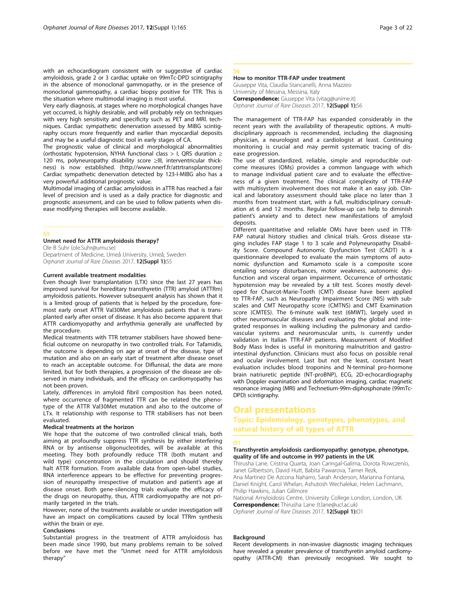with an echocardiogram consistent with or suggestive of cardiac amyloidosis, grade 2 or 3 cardiac uptake on 99mTc-DPD scintigraphy in the absence of monoclonal gammopathy, or in the presence of monoclonal gammopathy, a cardiac biopsy positive for TTR. This is the situation where multimodal imaging is most useful.

Very early diagnosis, at stages where no morphological changes have yet occurred, is highly desirable, and will probably rely on techniques with very high sensitivity and specificity such as PET and MRI. techniques. Cardiac sympathetic denervation assessed by MIBG scintigraphy occurs more frequently and earlier than myocardial deposits and may be a useful diagnostic tool in early stages of CA.

The prognostic value of clinical and morphological abnormalities (orthostatic hypotension, NYHA functional class > I, QRS duration  $\geq$ 120 ms, polyneuropathy disability score ≥III, interventricular thickness) is now established. (<http://www.nnerf.fr/attrtransplantscore>) Cardiac sympathetic denervation detected by 123-I-MIBG also has a very powerful additional prognostic value.

Multimodal imaging of cardiac amyloidosis in aTTR has reached a fair level of precision and is used as a daily practice for diagnostic and prognostic assessment, and can be used to follow patients when disease modifying therapies will become available.

#### **CE**

#### Unmet need for ATTR amyloidosis therapy?

Ole B Suhr (ole.Suhr@umu.se)

Department of Medicine, Umeå University, Umeå, Sweden Orphanet Journal of Rare Diseases 2017, 12(Suppl 1):S5

#### Current available treatment modalities

Even though liver transplantation (LTX) since the last 27 years has improved survival for hereditary transthyretin (TTR) amyloid (ATTRm) amyloidosis patients. However subsequent analysis has shown that it is a limited group of patients that is helped by the procedure, foremost early onset ATTR Val30Met amyloidosis patients that is transplanted early after onset of disease. It has also become apparent that ATTR cardiomyopathy and arrhythmia generally are unaffected by the procedure.

Medical treatments with TTR tetramer stabilisers have showed beneficial outcome on neuropathy in two controlled trials. For Tafamidis, the outcome is depending on age at onset of the disease, type of mutation and also on an early start of treatment after disease onset to reach an acceptable outcome. For Diflunisal, the data are more limited, but for both therapies, a progression of the disease are observed in many individuals, and the efficacy on cardiomyopathy has not been proven.

Lately, differences in amyloid fibril composition has been noted, where occurrence of fragmented TTR can be related the phenotype of the ATTR Val30Met mutation and also to the outcome of LTx. It relationship with response to TTR stabilisers has not been evaluated.

#### Medical treatments at the horizon

We hope that the outcome of two controlled clinical trials, both aiming at profoundly suppress TTR synthesis by either interfering RNA or by antisense oligonucleotides, will be available at this meeting. They both profoundly reduce TTR (both mutant and wild type) concentration in the circulation and should thereby halt ATTR formation. From available data from open-label studies, RNA interference appears to be effective for preventing progression of neuropathy irrespective of mutation and patient's age at disease onset. Both gene-silencing trials evaluate the efficacy of the drugs on neuropathy, thus, ATTR cardiomyopathy are not primarily targeted in the trials.

However, none of the treatments available or under investigation will have an impact on complications caused by local TTRm synthesis within the brain or eye.

#### Conclusions

Substantial progress in the treatment of ATTR amyloidosis has been made since 1990, but many problems remain to be solved before we have met the "Unmet need for ATTR amyloidosis therapy"

#### S6

### How to monitor TTR-FAP under treatment

Giuseppe Vita, Claudia Stancanelli, Anna Mazzeo University of Messina, Messina, Italy Correspondence: Giuseppe Vita (vitag@unime.it) Orphanet Journal of Rare Diseases 2017, 12(Suppl 1):S6

The management of TTR-FAP has expanded considerably in the recent years with the availability of therapeutic options. A multidisciplinary approach is recommended, including the diagnosing physician, a neurologist and a cardiologist at least. Continuing monitoring is crucial and may permit systematic tracing of disease progression.

The use of standardized, reliable, simple and reproducible outcome measures (OMs) provides a common language with which to manage individual patient care and to evaluate the effectiveness of a given treatment. The clinical complexity of TTR-FAP with multisystem involvement does not make it an easy job. Clinical and laboratory assessment should take place no later than 3 months from treatment start, with a full, multidisciplinary consultation at 6 and 12 months. Regular follow-up can help to diminish patient's anxiety and to detect new manifestations of amyloid deposits.

Different quantitative and reliable OMs have been used in TTR-FAP natural history studies and clinical trials. Gross disease staging includes FAP stage 1 to 3 scale and Polyneuropathy Disability Score. Compound Autonomic Dysfunction Test (CADT) is a questionnaire developed to evaluate the main symptoms of autonomic dysfunction and Kumamoto scale is a composite score entailing sensory disturbances, motor weakness, autonomic dysfunction and visceral organ impairment. Occurrence of orthostatic hypotension may be revealed by a tilt test. Scores mostly developed for Charcot-Marie-Tooth (CMT) disease have been applied to TTR-FAP, such as Neuropathy Impairment Score (NIS) with subscales and CMT Neuropathy score (CMTNS) and CMT Examination score (CMTES). The 6-minute walk test (6MWT), largely used in other neuromuscular diseases and evaluating the global and integrated responses in walking including the pulmonary and cardiovascular systems and neuromuscular units, is currently under validation in Italian TTR-FAP patients. Measurement of Modified Body Mass Index is useful in monitoring malnutrition and gastrointestinal dysfunction. Clinicians must also focus on possible renal and ocular involvement. Last but not the least, constant heart evaluation includes blood troponins and N-terminal pro-hormone brain natriuretic peptide (NT-proBNP), ECG, 2D-echocardiography with Doppler examination and deformation imaging, cardiac magnetic resonance imaging (MRI) and Technetium-99m-diphosphonate (99mTc-DPD) scintigraphy.

# Oral presentations

### Topic: Epidemiology, genotypes, phenotypes, and natural history of all types of ATTR

#### O1

#### Transthyretin amyloidosis cardiomyopathy: genotype, phenotype, quality of life and outcome in 997 patients in the UK

Thirusha Lane, Cristina Quarta, Joan Caringal-Galima, Dorota Rowczenio, Janet Gilbertson, David Hutt, Babita Pawarova, Tamer Rezk,

Ana Martinez De Azcona Naharro, Sarah Anderson, Marianna Fontana, Daniel Knight, Carol Whelan, Ashutosh Wechalekar, Helen Lachmann, Philip Hawkins, Julian Gillmore

National Amyloidosis Centre, University College London, London, UK Correspondence: Thirusha Lane (t.lane@ucl.ac.uk) Orphanet Journal of Rare Diseases 2017, 12(Suppl 1):O1

#### Background

Recent developments in non-invasive diagnostic imaging techniques have revealed a greater prevalence of transthyretin amyloid cardiomyopathy (ATTR-CM) than previously recognised. We sought to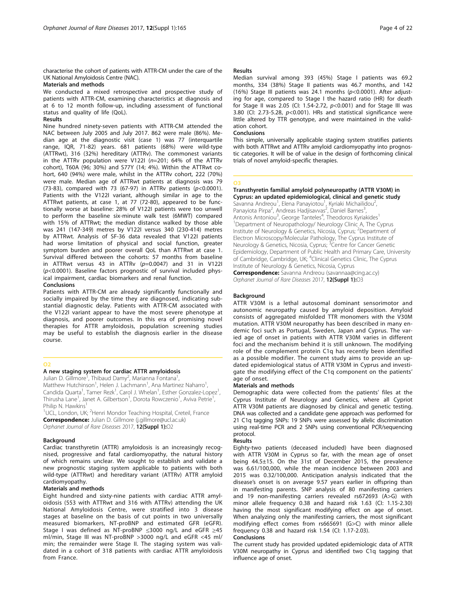characterise the cohort of patients with ATTR-CM under the care of the UK National Amyloidosis Centre (NAC).

#### Materials and methods

We conducted a mixed retrospective and prospective study of patients with ATTR-CM, examining characteristics at diagnosis and at 6 to 12 month follow-up, including assessment of functional status and quality of life (QoL).

#### Results

Nine hundred ninety-seven patients with ATTR-CM attended the NAC between July 2005 and July 2017. 862 were male (86%). Median age at the diagnostic visit (case 1) was 77 (interquartile range, IQR, 71-82) years. 681 patients (68%) were wild-type (ATTRwt), 316 (32%) hereditary (ATTRv). The commonest variants in the ATTRv population were V122I (n=201; 64% of the ATTRv cohort), T60A (96; 30%) and S77Y (14; 4%). Within the ATTRwt cohort, 640 (94%) were male, whilst in the ATTRv cohort, 222 (70%) were male. Median age of ATTRwt patients at diagnosis was 79 (73-83), compared with 73 (67-97) in ATTRv patients ( $p$ <0.0001). Patients with the V122I variant, although similar in age to the ATTRwt patients, at case 1, at 77 (72-80), appeared to be functionally worse at baseline: 28% of V122I patients were too unwell to perform the baseline six-minute walk test (6MWT) compared with 15% of ATTRwt; the median distance walked by those able was 241 (147-349) metres by V122I versus 340 (230-414) metres by ATTRwt. Analysis of SF-36 data revealed that V122I patients had worse limitation of physical and social function, greater symptom burden and poorer overall QoL than ATTRwt at case 1. Survival differed between the cohorts: 57 months from baseline in ATTRwt versus 43 in ATTRv  $(p=0.0047)$  and 31 in V122l  $(p<0.0001)$ . Baseline factors prognostic of survival included physical impairment, cardiac biomarkers and renal function. Conclusions

Patients with ATTR-CM are already significantly functionally and socially impaired by the time they are diagnosed, indicating substantial diagnostic delay. Patients with ATTR-CM associated with the V122I variant appear to have the most severe phenotype at diagnosis, and poorer outcomes. In this era of promising novel therapies for ATTR amyloidosis, population screening studies may be useful to establish the diagnosis earlier in the disease course.

### O2

#### A new staging system for cardiac ATTR amyloidosis

Julian D. Gillmore<sup>1</sup>, Thibaud Damy<sup>2</sup>, Marianna Fontana<sup>1</sup>

, Matthew Hutchinson<sup>1</sup>, Helen J. Lachmann<sup>1</sup>, Ana Martinez Naharro<sup>1</sup> , Candida Quarta<sup>1</sup>, Tamer Rezk<sup>1</sup>, Carol J. Whelan<sup>1</sup>, Esther Gonzalez-Lopez<sup>1</sup> , Thirusha Lane<sup>1</sup>, Janet A. Gilbertson<sup>1</sup>, Dorota Rowczenio<sup>1</sup>, Aviva Petrie<sup>1</sup> , Philip N. Hawkins1

<sup>1</sup>UCL, London, UK; <sup>2</sup>Henri Mondor Teaching Hospital, Creteil, France Correspondence: Julian D. Gillmore (j.gillmore@ucl.ac.uk) Orphanet Journal of Rare Diseases 2017, 12(Suppl 1):O2

#### Background

Cardiac transthyretin (ATTR) amyloidosis is an increasingly recognised, progressive and fatal cardiomyopathy, the natural history of which remains unclear. We sought to establish and validate a new prognostic staging system applicable to patients with both wild-type (ATTRwt) and hereditary variant (ATTRv) ATTR amyloid cardiomyopathy.

#### Materials and methods

Eight hundred and sixty-nine patients with cardiac ATTR amyloidosis (553 with ATTRwt and 316 with ATTRv) attending the UK National Amyloidosis Centre, were stratified into 3 disease stages at baseline on the basis of cut points in two universally measured biomarkers, NT-proBNP and estimated GFR (eGFR). Stage I was defined as NT-proBNP ≤3000 ng/L and eGFR ≥45 ml/min, Stage III was NT-proBNP >3000 ng/L and eGFR <45 ml/ min; the remainder were Stage II. The staging system was validated in a cohort of 318 patients with cardiac ATTR amyloidosis from France.

#### Results

Median survival among 393 (45%) Stage I patients was 69.2 months, 334 (38%) Stage II patients was 46.7 months, and 142 (16%) Stage III patients was 24.1 months ( $p$ <0.0001). After adjusting for age, compared to Stage I the hazard ratio (HR) for death for Stage II was 2.05 (CI: 1.54-2.72,  $p<0.001$ ) and for Stage III was 3.80 (CI: 2.73-5.28,  $p<0.001$ ). HRs and statistical significance were little altered by TTR genotype, and were maintained in the validation cohort.

#### Conclusions

This simple, universally applicable staging system stratifies patients with both ATTRwt and ATTRv amyloid cardiomyopathy into prognostic categories. It will be of value in the design of forthcoming clinical trials of novel amyloid-specific therapies.

O3

#### Transthyretin familial amyloid polyneuropathy (ATTR V30M) in Cyprus: an updated epidemiological, clinical and genetic study

Savanna Andreou<sup>1</sup>, Elena Panayiotou<sup>1</sup>, Kyriaki Michailidou<sup>2</sup> , Panayiota Pirpa<sup>2</sup>, Andreas Hadjisavvas<sup>2</sup>, Daniel Barnes<sup>3</sup> , Antonis Antoniou<sup>3</sup>, George Tanteles<sup>4</sup>, Theodoros Kyriakides<sup>1</sup> <sup>1</sup>Department of Neuropathology/ Neurology Clinic A, The Cyprus Institute of Neurology & Genetics, Nicosia, Cyprus; <sup>2</sup>Department of Electron Microscopy/Molecular Pathology, The Cyprus Institute of Neurology & Genetics, Nicosia, Cyprus; <sup>3</sup>Centre for Cancer Genetic Epidemiology, Department of Public Health and Primary Care, University of Cambridge, Cambridge, UK; <sup>4</sup>Clinical Genetics Clinic, The Cyprus Institute of Neurology & Genetics, Nicosia, Cyprus

Correspondence: Savanna Andreou (savannaa@cing.ac.cy) Orphanet Journal of Rare Diseases 2017, 12(Suppl 1):O3

#### Background

ATTR V30M is a lethal autosomal dominant sensorimotor and autonomic neuropathy caused by amyloid deposition. Amyloid consists of aggregated misfolded TTR monomers with the V30M mutation. ATTR V30M neuropathy has been described in many endemic foci such as Portugal, Sweden, Japan and Cyprus. The varied age of onset in patients with ATTR V30M varies in different foci and the mechanism behind it is still unknown. The modifying role of the complement protein C1q has recently been identified as a possible modifier. The current study aims to provide an updated epidemiological status of ATTR V30M in Cyprus and investigate the modifying effect of the C1q component on the patients' age of onset.

#### Materials and methods

Demographic data were collected from the patients' files at the Cyprus Institute of Neurology and Genetics, where all Cypriot ATTR V30M patients are diagnosed by clinical and genetic testing. DNA was collected and a candidate gene approach was performed for 21 C1q tagging SNPs: 19 SNPs were assessed by allelic discrimination using real-time PCR and 2 SNPs using conventional PCR/sequencing protocol.

#### Results

Eighty-two patients (deceased included) have been diagnosed with ATTR V30M in Cyprus so far, with the mean age of onset being 44.5±15. On the 31st of December 2015, the prevalence was 6.61/100,000, while the mean incidence between 2003 and 2015 was 0.32/100,000. Anticipation analysis indicated that the disease's onset is on average 9.57 years earlier in offspring than in manifesting parents. SNP analysis of 80 manifesting carriers and 19 non-manifesting carriers revealed rs672693 (A>G) with minor allele frequency 0.38 and hazard risk 1.63 (CI: 1.15-2.30) having the most significant modifying effect on age of onset. When analyzing only the manifesting carriers, the most significant modifying effect comes from rs665691 (G>C) with minor allele frequency 0.38 and hazard risk 1.54 (CI: 1.17-2.03).

#### Conclusions

The current study has provided updated epidemiologic data of ATTR V30M neuropathy in Cyprus and identified two C1q tagging that influence age of onset.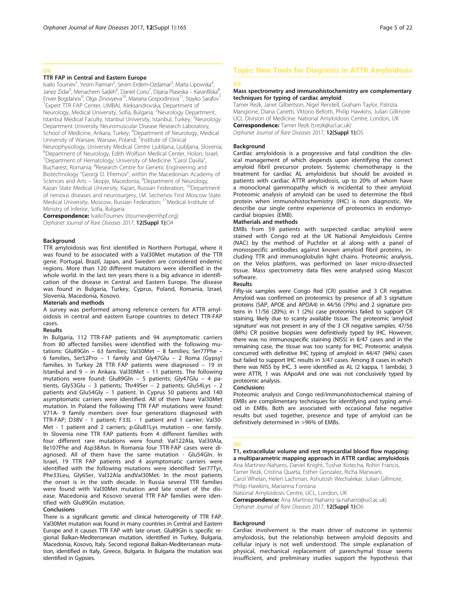#### O4

#### TTR FAP in Central and Eastern Europe

Ivailo Tournev<sup>1</sup>, Yesim Parman<sup>2</sup>, Sevim Erdem-Ozdamar<sup>3</sup>, Marta Lipowska<sup>4</sup> , Janez Zidar<sup>5</sup>, Menachem Sadeh<sup>6</sup>, Daniel Coriu<sup>7</sup>, Dijana Plaseska – Karanfilska<sup>8</sup> , Enver Bogdanov<sup>9</sup>, Olga Zinovyeva<sup>10</sup>, Mariana Gospodinova<sup>11</sup>, Stayko Sarafov<sup>1</sup> <sup>1</sup> Expert TTR FAP Center, UMBAL Aleksandrovska; Department of Neurology, Medical University, Sofia, Bulgaria; <sup>2</sup>Neurology Department, Istanbul Medical Faculty, Istanbul University, Istanbul, Turkey; <sup>3</sup>Neurology Department University Neuromuscular Disease Research Laboratory, School of Medicine, Ankara, Turkey; <sup>4</sup>Department of Neurology, Medical University of Warsaw, Warsaw, Poland; <sup>5</sup>Institute of Clinical Neurophysiology, University Medical Centre Ljubljana, Ljubljana, Slovenia; 6 Department of Neurology, Edith Wolfson Medical Center, Holon, Israel; 7 Department of Hematology; University of Medicine "Carol Davila", Bucharest, Romania; <sup>8</sup>Research Centre for Genetic Engineering and Biotechnology "Georgi D. Efremov", within the Macedonian Academy of Sciences and Arts - Skopje, Macedonia; <sup>9</sup>Department of Neurology, Kazan State Medical University, Kazan, Russian Federation; <sup>10</sup>Department of nervous diseases and neurosurgery, I.M. Sechenov First Moscow State Medical University, Moscow, Russian Federation; 11Medical Institute of Ministry of Inferior, Sofia, Bulgaria

Correspondence: IvailoTournev (itournev@emhpf.org) Orphanet Journal of Rare Diseases 2017, 12(Suppl 1):O4

#### **Background**

TTR amyloidosis was first identified in Northern Portugal, where it was found to be associated with a Val30Met mutation of the TTR gene. Portugal, Brazil, Japan, and Sweden are considered endemic regions. More than 120 different mutations were identified in the whole world. In the last ten years there is a big advance in identification of the disease in Central and Eastern Europe. The disease was found in Bulgaria, Turkey, Cyprus, Poland, Romania, Izrael, Slovenia, Macedonia, Kosovo.

#### Materials and methods

A survey was performed among reference centers for ATTR amyloidosis in central and eastern Europe countries to detect TTR-FAP cases.

#### Results

#### Conclusions

There is a significant genetic and clinical heterogeneity of TTR FAP. Val30Met mutation was found in many countries in Central and Eastern Europe and it causes TTR FAP with late onset. Glu89Gln is specific regional Balkan-Mediterranean mutation, identified in Turkey, Bulgaria, Macedonia, Kosovo, Italy. Second regional Balkan-Mediterranean mutation, identified in Italy, Greece, Bulgaria. In Bulgaria the mutation was identified in Gypsies.

### Topic: New Tools for Diagnosis in ATTR Amyloidosis

#### O5

#### Mass spectrometry and immunohistochemistry are complementary techniques for typing of cardiac amyloid

Tamer Rezk, Janet Gilbertson, Nigel Rendell, Graham Taylor, Patrizia Mangione, Diana Canetti, Vittorio Bellotti, Philip Hawkins, Julian Gillmore UCL Division of Medicine. National Amyloidosis Centre, London, UK Correspondence: Tamer Rezk (t.rezk@ucl.ac.uk) Orphanet Journal of Rare Diseases 2017, 12(Suppl 1):O5

#### **Background**

Cardiac amyloidosis is a progressive and fatal condition the clinical management of which depends upon identifying the correct amyloid fibril precursor protein. Systemic chemotherapy is the treatment for cardiac AL amyloidosis but should be avoided in patients with cardiac ATTR amyloidosis, up to 20% of whom have a monoclonal gammopathy which is incidental to their amyloid. Proteomic analysis of amyloid can be used to determine the fibril protein when immunohistochemistry (IHC) is non diagnostic. We describe our single centre experience of proteomics in endomyocardial biopsies (EMB).

### Matherials and methods

EMBs from 59 patients with suspected cardiac amyloid were stained with Congo red at the UK National Amyloidosis Centre (NAC) by the method of Puchtler et al along with a panel of monospecific antibodies against known amyloid fibril proteins, including TTR and immunoglobulin light chains. Proteomic analysis, on the Velos platform, was performed on laser micro-dissected tissue. Mass spectrometry data files were analysed using Mascot software.

#### Results

Fifty-six samples were Congo Red (CR) positive and 3 CR negative. Amyloid was confirmed on proteomics by presence of all 3 signature proteins (SAP, APOE and APOA4) in 44/56 (79%) and 2 signature proteins in 11/56 (20%); in 1 (2%) case proteomics failed to support CR staining, likely due to scanty available tissue. The proteomic 'amyloid signature' was not present in any of the 3 CR negative samples. 47/56 (84%) CR positive biopsies were definitively typed by IHC. However, there was no immunospecific staining (NISS) in 8/47 cases and in the remaining case, the tissue was too scanty for IHC. Proteomic analysis concurred with definitive IHC typing of amyloid in 44/47 (94%) cases but failed to support IHC results in 3/47 cases. Among 8 cases in which there was NISS by IHC, 3 were identified as AL (2 kappa, 1 lambda), 3 were ATTR, 1 was AApoA4 and one was not conclusively typed by proteomic analysis.

#### Conclusions

Proteomic analysis and Congo red/immunohistochemical staining of EMBs are complimentary techniques for identifying and typing amyloid in EMBs. Both are associated with occasional false negative results but used together, presence and type of amyloid can be definitively determined in >96% of EMBs.

### O6

T1, extracellular volume and rest myocardial blood flow mapping: a multiparametric mapping approach in ATTR cardiac amyloidosis Ana Martinez-Naharro, Daniel Knight, Tushar Kotecha, Rohin Francis, Tamer Rezk, Cristina Quarta, Esther Gonzalez, Richa Manwani, Carol Whelan, Helen Lachman, Ashutosh Wechalekar, Julian Gillmore, Philip Hawkins, Marianna Fontana

National Amyloidosis Centre, UCL, London, UK

Correspondence: Ana Martinez-Naharro (a.naharro@ucl.ac.uk) Orphanet Journal of Rare Diseases 2017, 12(Suppl 1):O6

#### **Background**

Cardiac involvement is the main driver of outcome in systemic amyloidosis, but the relationship between amyloid deposits and cellular injury is not well understood. The simple explanation of physical, mechanical replacement of parenchymal tissue seems insufficient, and preliminary studies support the hypothesis that

In Bulgaria, 112 TTR-FAP patients and 94 asymptomatic carriers from 80 affected families were identified with the following mutations: Glu89Gln – 63 families; Val30Met – 8 families; Ser77Phe – 6 families, Ser52Pro – 1 family and Gly47Glu – 2 Roma (Gypsy) families. In Turkey 28 TTR FAP patients were diagnosed – 19 in Istanbul and 9 – in Ankara. Val30Met – 11 patients. The following mutations were found: Glu89Gln – 5 patients; Gly47Glu – 4 patients, Gly53Glu – 3 patients; Thr49Ser – 2 patients; Glu54Lys – 2 patients and Glu54Gly – 1 patient. In Cyprus 50 patients and 140 asymptomatic carriers were identified. All of them have Val30Met mutation. In Poland the following TTR FAP mutations were found: V71A- 9 family members over four generations diagnosed with TTR-FAP; D38V - 1 patient; F33L - 1 patient and 1 carrier; Val30- Met - 1 patient and 2 carriers; p.Glu81Lys mutation – one family. In Slovenia nine TTR FAP patients from 4 different families with four different rare mutations were found: Val122Ala, Val30Ala, Ile107Phe and Asp38Asn. In Romania four TTR-FAP cases were diagnosed. All of them have the same mutation - Glu54Gln. In Israel, 19 TTR FAP patients and 4 asymptomatic carriers were identified with the following mutations were identified: Ser77Tyr, Phe33Leu, Gly6Ser, Val32Ala andVal30Met. In the most patients the onset is in the sixth decade. In Russia several TTR families were found with Val30Met mutation and late onset of the disease. Macedonia and Kosovo several TTR FAP families were identified with Glu89Gln mutation.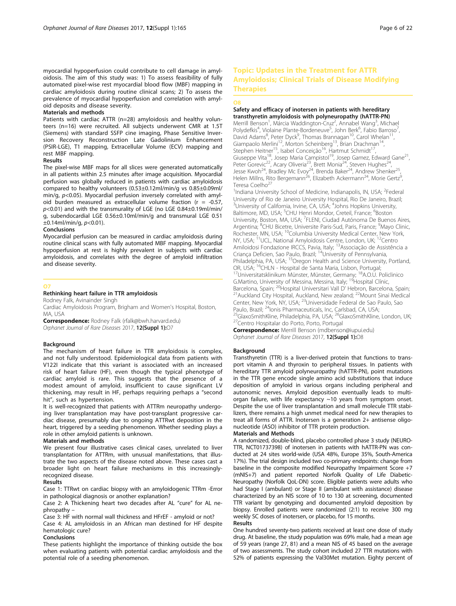myocardial hypoperfusion could contribute to cell damage in amyloidosis. The aim of this study was: 1) To assess feasibility of fully automated pixel-wise rest myocardial blood flow (MBF) mapping in cardiac amyloidosis during routine clinical scans; 2) To assess the prevalence of myocardial hypoperfusion and correlation with amyloid deposits and disease severity.

#### Materials and methods

Patients with cardiac ATTR (n=28) amyloidosis and healthy volunteers (n=16) were recruited. All subjects underwent CMR at 1.5T (Siemens) with standard SSFP cine imaging, Phase Sensitive Inversion Recovery Reconstruction Late Gadolinium Enhancement (PSIR-LGE), T1 mapping, Extracellular Volume (ECV) mapping and rest MBF mapping.

#### Results

The pixel-wise MBF maps for all slices were generated automatically in all patients within 2.5 minutes after image acquisition. Myocardial perfusion was globally reduced in patients with cardiac amyloidosis compared to healthy volunteers (0.53±0.12ml/min/g vs 0.85±0.09ml/ min/g, p<0.05). Myocardial perfusion inversely correlated with amyloid burden measured as extracellular volume fraction ( $r = -0.57$ ,  $p$ <0.01) and with the transmurality of LGE (no LGE 0.84 $\pm$ 0.19ml/min/ g, subendocardial LGE 0.56±0.10ml/min/g and transmural LGE 0.51  $\pm 0.14$ ml/min/g,  $p < 0.01$ ).

#### Conclusions

Myocardial perfusion can be measured in cardiac amyloidosis during routine clinical scans with fully automated MBF mapping. Myocardial hypoperfusion at rest is highly prevalent in subjects with cardiac amyloidosis, and correlates with the degree of amyloid infiltration and disease severity.

### O7

#### Rethinking heart failure in TTR amyloidosis

Rodney Falk, Avinainder Singh

Cardiac Amyloidosis Program, Brigham and Women's Hospital, Boston, MA, LISA

Correspondence: Rodney Falk (rfalk@bwh.harvard.edu) Orphanet Journal of Rare Diseases 2017, 12(Suppl 1):O7

#### **Background**

The mechanism of heart failure in TTR amyloidosis is complex, and not fully understood. Epidemiological data from patients with V122I indicate that this variant is associated with an increased risk of heart failure (HF), even though the typical phenotype of cardiac amyloid is rare. This suggests that the presence of a modest amount of amyloid, insufficient to cause significant LV thickening, may result in HF, perhaps requiring perhaps a "second hit", such as hypertension.

It is well-recognized that patients with ATTRm neuropathy undergoing liver transplantation may have post-transplant progressive cardiac disease, presumably due to ongoing ATTRwt deposition in the heart, triggered by a seeding phenomenon. Whether seeding plays a role in other amyloid patients is unknown.

#### Materials and methods

We present four illustrative cases clinical cases, unrelated to liver transplantation for ATTRm, with unusual manifestations, that illustrate the two aspects of the disease noted above. These cases cast a broader light on heart failure mechanisms in this increasinglyrecognized disease.

#### Results

Case 1: TTRwt on cardiac biopsy with an amyloidogenic TTRm -Error in pathological diagnosis or another explanation?

Case 2: A Thickening heart two decades after AL "cure" for AL nephropathy –

Case 3: HF with normal wall thickness and HFrEF - amyloid or not? Case 4: AL amyloidosis in an African man destined for HF despite hematologic cure?

#### Conclusions

These patients highlight the importance of thinking outside the box when evaluating patients with potential cardiac amyloidosis and the potential role of a seeding phenomenon.

### Topic: Updates in the Treatment for ATTR Amyloidosis; Clinical Trials of Disease Modifying **Therapies**

### O8

#### Safety and efficacy of inotersen in patients with hereditary transthyretin amyloidosis with polyneuropathy (hATTR-PN)

Merrill Benson<sup>1</sup>, Márcia Waddington-Cruz<sup>2</sup>, Annabel Wang<sup>3</sup>, Michael Polydefkis<sup>4</sup>, Violaine Plante-Bordeneuve<sup>5</sup>, John Berk<sup>6</sup>, Fabio Barroso<sup>7</sup> , David Adams<sup>8</sup>, Peter Dyck<sup>9</sup>, Thomas Brannagan<sup>10</sup>, Carol Whelan<sup>11</sup> Giampaolo Merlini<sup>12</sup>, Morton Scheinberg<sup>13</sup>, Brian Drachman<sup>14</sup> Stephen Heitner<sup>15</sup>, Isabel Conceição<sup>16</sup>, Hartmut Schmidt<sup>17</sup> Giuseppe Vita<sup>18</sup>, Josep Maria Campistol<sup>19</sup>, Josep Gamez, Edward Gane<sup>21</sup>, Peter Gorevic<sup>22</sup>, Acary Oliveria<sup>23</sup>, Brett Monia<sup>24</sup>, Steven Hughes<sup>24</sup>, Jesse Kwoh<sup>24</sup>, Bradley Mc Evoy<sup>24</sup>, Brenda Baker<sup>24</sup>, Andrew Shenker<sup>25</sup> Helen Millns, Rito Bergemann<sup>26</sup>, Elizabeth Ackermann<sup>24</sup>, Morie Gertz<sup>9</sup>, , Teresa Coelho<sup>27</sup>

<sup>1</sup>Indiana University School of Medicine, Indianapolis, IN, USA; <sup>2</sup>Federal University of Rio de Janeiro University Hospital, Rio De Janeiro, Brazil; <sup>3</sup>University of California, Irvine, CA, USA; <sup>4</sup>Johns Hopkins University, Baltimore, MD, USA; <sup>5</sup>CHU Henri Mondor, Creteil, France; <sup>6</sup>Boston University, Boston, MA, USA; <sup>7</sup>FLENI, Ciudad Autónoma De Buenos Aires Argentina; <sup>8</sup>CHU Bicetre, Universite Paris-Sud, Paris, France; <sup>9</sup>Mayo Clinic Rochester, MN, USA; <sup>10</sup>Columbia University Medical Center, New York, NY, USA; 11UCL, National Amyloidosis Centre, London, UK; 12Centro Amiloidosi Fondazione IRCCS, Pavia, Italy; <sup>13</sup>Associação de Assistência a Criança Deficien, Sao Paulo, Brazil; 14University of Pennsylvania, Philadelphia, PA, USA; <sup>15</sup>Oregon Health and Science University, Portland, OR, USA; <sup>16</sup>CHLN - Hospital de Santa Maria, Lisbon, Portugal; <sup>17</sup>Universitatsklinikum Münster, Münster, Germany; <sup>18</sup>A.O.U. Policlinico G.Martino, University of Messina, Messina, Italy; <sup>19H</sup>ospital Clínic, Barcelona, Spain; <sup>20</sup>Hospital Universitari Vall D' Hebron, Barcelona, Spain;<br><sup>21</sup>Auckland City Hospital, Auckland, New zealand; <sup>22</sup>Mount Sinai Medical Center, New York, NY, USA; <sup>23</sup>Universidade Federal de Sao Paulo, Sao<br>Paulo, Brazil; <sup>24</sup>lonis Pharmaceuticals, Inc, Carlsbad, CA, USA; <sup>25</sup>GlaxoSmithKline, Philadelphia, PA, USA; <sup>26</sup>GlaxoSmithKline, London, UK; <sup>27</sup>Centro Hospitalar do Porto, Porto, Portugal Correspondence: Merrill Benson (mdbenson@iupui.edu)

Orphanet Journal of Rare Diseases 2017, 12(Suppl 1):O8

#### Background

Transthyretin (TTR) is a liver-derived protein that functions to transport vitamin A and thyroxin to peripheral tissues. In patients with hereditary TTR amyloid polyneuropathy (hATTR-PN), point mutations in the TTR gene encode single amino acid substitutions that induce deposition of amyloid in various organs including peripheral and autonomic nerves. Amyloid deposition eventually leads to multiorgan failure, with life expectancy ~10 years from symptom onset. Despite the use of liver transplantation and small molecule TTR stabilizers, there remains a high unmet medical need for new therapies to treat all forms of ATTR. Inotersen is a generation 2+ antisense oligonucleotide (ASO) inhibitor of TTR protein production.

#### Materials and Methods

A randomized, double-blind, placebo controlled phase 3 study (NEURO-TTR, NCT01737398) of inotersen in patients with hATTR-PN was conducted at 24 sites world-wide (USA 48%, Europe 35%, South-America 17%). The trial design included two co-primary endpoints: change from baseline in the composite modified Neuropathy Impairment Score +7 (mNIS+7) and patient reported Norfolk Quality of Life Diabetic-Neuropathy (Norfolk QoL-DN) score. Eligible patients were adults who had Stage I (ambulant) or Stage II (ambulant with assistance) disease characterized by an NIS score of 10 to 130 at screening, documented TTR variant by genotyping and documented amyloid deposition by biopsy. Enrolled patients were randomized (2:1) to receive 300 mg weekly SC doses of inotersen, or placebo, for 15 months. Results

One hundred seventy-two patients received at least one dose of study drug. At baseline, the study population was 69% male, had a mean age of 59 years (range 27, 81) and a mean NIS of 45 based on the average of two assessments. The study cohort included 27 TTR mutations with 52% of patients expressing the Val30Met mutation. Eighty percent of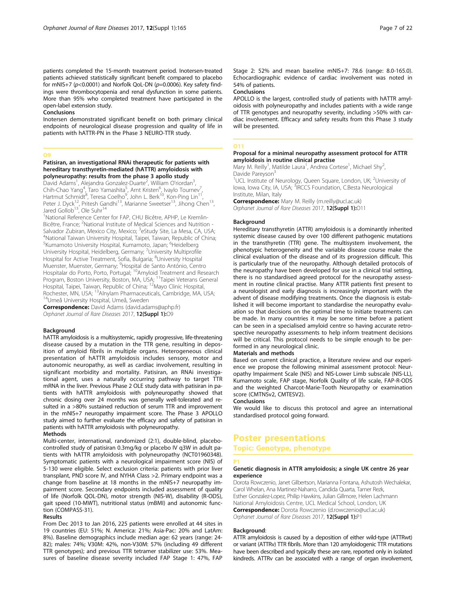patients completed the 15-month treatment period. Inotersen-treated patients achieved statistically significant benefit compared to placebo for mNIS+7 ( $p$ <0.0001) and Norfolk QoL-DN ( $p$ =0.0006). Key safety findings were thrombocytopenia and renal dysfunction in some patients. More than 95% who completed treatment have participated in the open-label extension study.

#### Conclusions

Inotersen demonstrated significant benefit on both primary clinical endpoints of neurological disease progression and quality of life in patients with hATTR-PN in the Phase 3 NEURO-TTR study.

#### O9

#### Patisiran, an investigational RNAi therapeutic for patients with hereditary transthyretin-mediated (hATTR) amyloidosis with polyneuropathy: results from the phase 3 apollo study

.<br>David Adams<sup>1</sup>, Alejandra Gonzalez-Duarte<sup>2</sup>, William O'riordan<sup>3</sup> , Chih-Chao Yang<sup>4</sup>, Taro Yamashita<sup>5</sup>, Arnt Kristen<sup>6</sup>, Ivaylo Tournev<sup>7</sup> , Hartmut Schmidt<sup>8</sup>, Teresa Coelho<sup>9</sup>, John L. Berk<sup>10</sup>, Kon-Ping Lin<sup>11</sup>, Peter J. Dyck<sup>12</sup>, Pritesh Gandhi<sup>13</sup>, Marianne Sweetser<sup>13</sup>, Jihong Chen<sup>13</sup>, Jared Gollob<sup>13</sup>, Ole Suhr<sup>14</sup>

<sup>1</sup>National Reference Center for FAP, CHU Bicêtre, APHP, Le Kremlin-Bicêtre, France; <sup>2</sup>National Institute of Medical Sciences and Nutrition -Salvador Zubiran, Mexico City, Mexico; <sup>3</sup>eStudy Site, La Mesa, CA, USA;<br><sup>4</sup>National Taiwan University Hospital Tainoi Taiwan, Bopublic of China <sup>4</sup>National Taiwan University Hospital, Taipei, Taiwan, Republic of China; <sup>5</sup>Kumamoto University Hospital, Kumamoto, Japan; <sup>6</sup>Heidelberg University Hospital, Heidelberg, Germany; <sup>7</sup>University Multiprofile Hospital for Active Treatment, Sofia, Bulgaria; <sup>8</sup>University Hospital Muenster, Muenster, Germany; <sup>9</sup>Hospital de Santo António, Centro Hospitalar do Porto, Porto, Portugal; <sup>10</sup>Amyloid Treatment and Research Program, Boston University, Boston, MA, USA; <sup>11</sup>Taipei Veterans General Hospital, Taipei, Taiwan, Republic of China; 12Mayo Clinic Hospital, Rochester, MN, USA; <sup>13</sup>Alnylam Pharmaceuticals, Cambridge, MA, USA; 14Umeå University Hospital, Umeå, Sweden

Correspondence: David Adams (david.adams@aphp.fr) Orphanet Journal of Rare Diseases 2017, 12(Suppl 1):O9

#### Background

hATTR amyloidosis is a multisystemic, rapidly progressive, life-threatening disease caused by a mutation in the TTR gene, resulting in deposition of amyloid fibrils in multiple organs. Heterogeneous clinical presentation of hATTR amyloidosis includes sensory, motor and autonomic neuropathy, as well as cardiac involvement, resulting in significant morbidity and mortality. Patisiran, an RNAi investigational agent, uses a naturally occurring pathway to target TTR mRNA in the liver. Previous Phase 2 OLE study data with patisiran in patients with hATTR amyloidosis with polyneuropathy showed that chronic dosing over 24 months was generally well-tolerated and resulted in a >80% sustained reduction of serum TTR and improvement in the mNIS+7 neuropathy impairment score. The Phase 3 APOLLO study aimed to further evaluate the efficacy and safety of patisiran in patients with hATTR amyloidosis with polyneuropathy.

#### Methods

Multi-center, international, randomized (2:1), double-blind, placebocontrolled study of patisiran 0.3mg/kg or placebo IV q3W in adult patients with hATTR amyloidosis with polyneuropathy (NCT01960348). Symptomatic patients with a neurological impairment score (NIS) of 5-130 were eligible. Select exclusion criteria: patients with prior liver transplant, PND score IV, and NYHA Class >2. Primary endpoint was a change from baseline at 18 months in the mNIS+7 neuropathy impairment score. Secondary endpoints included assessment of quality of life (Norfolk QOL-DN), motor strength (NIS-W), disability (R-ODS), gait speed (10-MWT), nutritional status (mBMI) and autonomic function (COMPASS-31).

#### Results

From Dec 2013 to Jan 2016, 225 patients were enrolled at 44 sites in 19 countries (EU: 51%; N. America: 21%; Asia-Pac: 20% and LatAm: 8%). Baseline demographics include median age: 62 years (range: 24- 82); males: 74%; V30M: 42%, non-V30M: 57% (including 49 different TTR genotypes); and previous TTR tetramer stabilizer use: 53%. Measures of baseline disease severity included FAP Stage 1: 47%, FAP

#### Stage 2: 52% and mean baseline mNIS+7: 78.6 (range: 8.0-165.0). Echocardiographic evidence of cardiac involvement was noted in 54% of patients.

#### Conclusions

APOLLO is the largest, controlled study of patients with hATTR amyloidosis with polyneuropathy and includes patients with a wide range of TTR genotypes and neuropathy severity, including >50% with cardiac involvement. Efficacy and safety results from this Phase 3 study will be presented.

### O11

#### Proposal for a minimal neuropathy assessment protocol for ATTR amyloidosis in routine clinical practise

Mary M. Reilly<sup>1</sup>, Matilde Laura<sup>1</sup>, Andrea Cortese<sup>1</sup>, Michael Shy<sup>2</sup> , Davide Pareyson<sup>3</sup>

<sup>1</sup>UCL Institute of Neurology, Queen Square, London, UK; <sup>2</sup>University of lowa, Iowa City, IA, USA; <sup>3</sup>IRCCS Foundation, C.Besta Neurological Institute, Milan, Italy

Correspondence: Mary M. Reilly (m.reilly@ucl.ac.uk) Orphanet Journal of Rare Diseases 2017, 12(Suppl 1):O11

#### **Background**

Hereditary transthyretin (ATTR) amyloidosis is a dominantly inherited systemic disease caused by over 100 different pathogenic mutations in the transthyretin (TTR) gene. The multisystem involvement, the phenotypic heterogeneity and the variable disease course make the clinical evaluation of the disease and of its progression difficult. This is particularly true of the neuropathy. Although detailed protocols of the neuropathy have been developed for use in a clinical trial setting, there is no standardised agreed protocol for the neuropathy assessment in routine clinical practise. Many ATTR patients first present to a neurologist and early diagnosis is increasingly important with the advent of disease modifying treatments. Once the diagnosis is established it will become important to standardise the neuropathy evaluation so that decisions on the optimal time to initiate treatments can be made. In many countries it may be some time before a patient can be seen in a specialised amyloid centre so having accurate retrospective neuropathy assessments to help inform treatment decisions will be critical. This protocol needs to be simple enough to be performed in any neurological clinic.

#### Materials and methods

Based on current clinical practice, a literature review and our experience we propose the following minimal assessment protocol: Neuropathy Impairment Scale (NIS) and NIS-Lower Limb subscale (NIS-LL), Kumamoto scale, FAP stage, Norfolk Quality of life scale, FAP-R-ODS and the weighted Charcot-Marie-Tooth Neuropathy or examination score (CMTNSv2, CMTESV2).

#### Conclusions

We would like to discuss this protocol and agree an international standardised protocol going forward.

### Poster presentations

Topic: Genotype, phenotype

#### P1

#### Genetic diagnosis in ATTR amyloidosis; a single UK centre 26 year experience

Dorota Rowczenio, Janet Gilbertson, Marianna Fontana, Ashutosh Wechalekar, Carol Whelan, Ana Martinez-Naharro, Candida Quarta, Tamer Rezk, Esther Gonzalez-Lopez, Philip Hawkins, Julian Gillmore, Helen Lachmann National Amyloidosis Centre, UCL Medical School, London, UK Correspondence: Dorota Rowczenio (d.rowczenio@ucl.ac.uk) Orphanet Journal of Rare Diseases 2017, 12(Suppl 1):P1

#### Background:

ATTR amyloidosis is caused by a deposition of either wild-type (ATTRwt) or variant (ATTRv) TTR fibrils. More than 120 amyloidogenic TTR mutations have been described and typically these are rare, reported only in isolated kindreds. ATTRv can be associated with a range of organ involvement,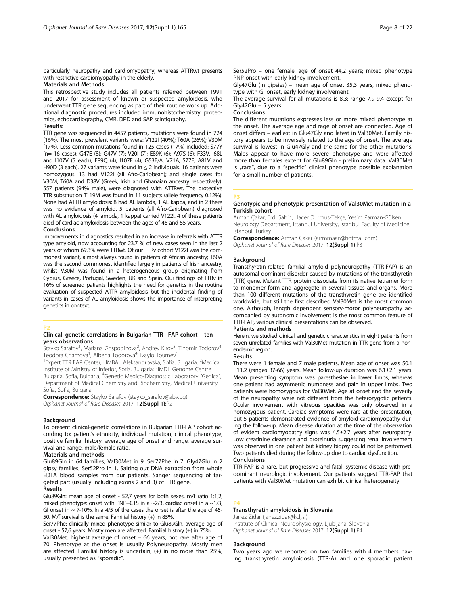particularly neuropathy and cardiomyopathy, whereas ATTRwt presents with restrictive cardiomyopathy in the elderly.

#### Materials and Methods:

This retrospective study includes all patients referred between 1991 and 2017 for assessment of known or suspected amyloidosis, who underwent TTR gene sequencing as part of their routine work up. Additional diagnostic procedures included immunohistochemistry, proteomics, echocardiography, CMR, DPD and SAP scintigraphy. Results:

TTR gene was sequenced in 4457 patients, mutations were found in 724 (16%). The most prevalent variants were: V122I (40%); T60A (26%); V30M (17%). Less common mutations found in 125 cases (17%) included: S77Y (n= 16 cases); G47E (8); G47V (7); V20I (7); E89K (6); A97S (6); F33V, I68L and I107V (5 each); E89Q (4); I107F (4); G53E/A, V71A, S77F, A81V and H90D (3 each). 27 variants were found in ≤ 2 individuals. 16 patients were homozygous: 13 had V122I (all Afro-Caribbean); and single cases for V30M, T60A and D38V (Greek, Irish and Ghanaian ancestry respectively). 557 patients (94% male), were diagnosed with ATTRwt. The protective TTR substitution T119M was found in 11 subjects (allele frequency 0.12%). None had ATTR amyloidosis; 8 had AL lambda, 1 AL kappa, and in 2 there was no evidence of amyloid. 5 patients (all Afro-Caribbean) diagnosed with AL amyloidosis (4 lambda, 1 kappa) carried V122I. 4 of these patients died of cardiac amyloidosis between the ages of 46 and 55 years. Conclusions:

Improvements in diagnostics resulted in an increase in referrals with ATTR type amyloid, now accounting for 23.7 % of new cases seen in the last 2 years of whom 69.3% were TTRwt. Of our TTRv cohort V122I was the commonest variant, almost always found in patients of African ancestry; T60A was the second commonest identified largely in patients of Irish ancestry; whilst V30M was found in a heterogeneous group originating from Cyprus, Greece, Portugal, Sweden, UK and Spain. Our findings of TTRv in 16% of screened patients highlights the need for genetics in the routine evaluation of suspected ATTR amyloidosis but the incidental finding of variants in cases of AL amyloidosis shows the importance of interpreting genetics in context.

#### P2

#### Clinical–genetic correlations in Bulgarian TTR– FAP cohort – ten years observations

.<br>Stayko Sarafov<sup>1</sup>, Mariana Gospodinova<sup>2</sup>, Andrey Kirov<sup>3</sup>, Tihomir Todorov<sup>4</sup> , Teodora Chamova<sup>1</sup>, Albena Todorova<sup>4</sup>, Ivaylo Tournev<sup>1</sup>

<sup>1</sup> Expert TTR FAP Center, UMBAL Aleksandrovska, Sofia, Bulgaria; <sup>2</sup>Medical Institute of Ministry of Inferior, Sofia, Bulgaria; <sup>3</sup>IMDL Genome Centre Bulgaria, Sofia, Bulgaria; <sup>4</sup>Genetic Medico-Diagnostic Laboratory "Genica", Department of Medical Chemistry and Biochemistry, Medical University Sofia, Sofia, Bulgaria

Correspondence: Stayko Sarafov (stayko\_sarafov@abv.bg) Orphanet Journal of Rare Diseases 2017, 12(Suppl 1):P2

#### Background

To present clinical-genetic correlations in Bulgarian TTR-FAP cohort according to: patient's ethnicity, individual mutation, clinical phenotype, positive familial history, average age of onset and range, average survival and range, male/female ratio.

#### Materials and methods

Glu89Gln in 64 families, Val30Met in 9, Ser77Phe in 7, Gly47Glu in 2 gipsy families, Ser52Pro in 1. Salting out DNA extraction from whole EDTA blood samples from our patients. Sanger sequencing of targeted part (usually including exons 2 and 3) of TTR gene.

### Results

Glu89Gln: mean age of onset - 52,7 years for both sexes, m/f ratio 1:1,2; mixed phenotype: onset with PNP+CTS in a  $\sim$ 2/3, cardiac onset in a  $\sim$ 1/3, GI onset in  $\sim$  7-10%. In a 4/5 of the cases the onset is after the age of 45-50. M/f survival is the same. Familial history (+) in 85%.

Ser77Phe: clinically mixed phenotype similar to Glu89Gln, average age of onset - 57,6 years. Mostly men are affected. Familial history (+) in 75%

Val30Met: highest average of onset – 66 years, not rare after age of 70. Phenotype at the onset is usually Polyneuropathy. Mostly men are affected. Familial history is uncertain, (+) in no more than 25%, usually presented as "sporadic".

Ser52Pro – one female, age of onset 44,2 years; mixed phenotype PNP onset with early kidney involvement.

Gly47Glu (in gipsies) – mean age of onset 35,3 years, mixed phenotype with GI onset, early kidney involvement.

The average survival for all mutations is 8,3; range 7,9-9,4 except for Gly47Glu – 5 years.

#### Conclusions

The different mutations expresses less or more mixed phenotype at the onset. The average age and rage of onset are connected. Age of onset differs – earliest in Glu47Gly and latest in Val30Met. Family history appears to be inversely related to the age of onset. The average survival is lowest in Glu47Gly and the same for the other mutations. Males appear to have more severe phenotype and were affected more than females except for Glu89Gln - preliminary data. Val30Met is "rare", due to a "specific" clinical phenotype possible explanation for a small number of patients.

### P3

#### Genotypic and phenotypic presentation of Val30Met mutation in a Turkish cohort

Arman Çakar, Erdi Sahin, Hacer Durmus-Tekçe, Yesim Parman-Gülsen Neurology Department, Istanbul University, Istanbul Faculty of Medicine, Istanbul, Turkey

Correspondence: Arman Çakar (arrmmaan@hotmail.com) Orphanet Journal of Rare Diseases 2017, 12(Suppl 1):P3

#### Background

Transthyretin-related familial amyloid polyneuropathy (TTR-FAP) is an autosomal dominant disorder caused by mutations of the transthyretin (TTR) gene. Mutant TTR protein dissociate from its native tetramer form to monomer form and aggregate in several tissues and organs. More than 100 different mutations of the transthyretin gene are identified worldwide, but still the first described Val30Met is the most common one. Although, length dependent sensory-motor polyneuropathy accompanied by autonomic involvement is the most common feature of TTR-FAP, various clinical presentations can be observed.

#### Patients and methods

Herein, we studied clinical, and genetic characteristics in eight patients from seven unrelated families with Val30Met mutation in TTR gene from a nonendemic region.

#### Results

There were 1 female and 7 male patients. Mean age of onset was 50.1 ±11.2 (ranges 37-66) years. Mean follow-up duration was 6.1±2.1 years. Mean presenting symptom was paresthesiae in lower limbs, whereas one patient had asymmetric numbness and pain in upper limbs. Two patients were homozygous for Val30Met. Age at onset and the severity of the neuropathy were not different from the heterozygotic patients. Ocular involvement with vitreous opacities was only observed in a homozygous patient. Cardiac symptoms were rare at the presentation, but 5 patients demonstrated evidence of amyloid cardiomyopathy during the follow-up. Mean disease duration at the time of the observation of evident cardiomyopathy signs was 4.5±2.7 years after neuropathy. Low creatinine clearance and proteinuria suggesting renal involvement was observed in one patient but kidney biopsy could not be performed. Two patients died during the follow-up due to cardiac dysfunction. Conclusions

TTR-FAP is a rare, but progressive and fatal, systemic disease with predominant neurologic involvement. Our patients suggest TTR-FAP that patients with Val30Met mutation can exhibit clinical heterogeneity.

### P4

### Transthyretin amyloidosis in Slovenia

Janez Zidar (janez.zidar@kclj.si) Institute of Clinical Neurophysiology, Ljubljana, Slovenia Orphanet Journal of Rare Diseases 2017, 12(Suppl 1):P4

#### Background

Two years ago we reported on two families with 4 members having transthyretin amyloidosis (TTR-A) and one sporadic patient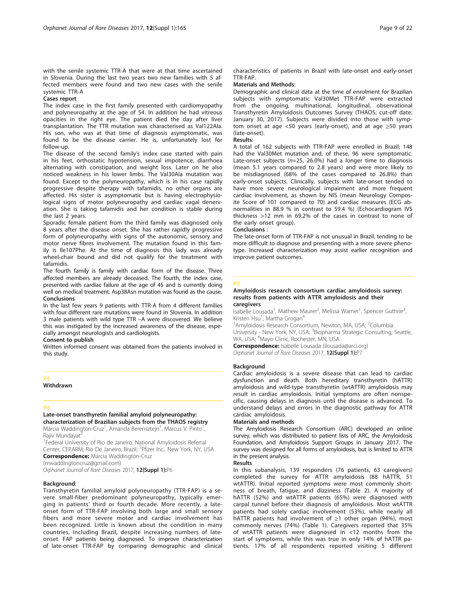with the senile systemic TTR-A that were at that time ascertained in Slovenia. During the last two years two new families with 5 affected members were found and two new cases with the senile systemic TTR-A

#### Cases report

The index case in the first family presented with cardiomyopathy and polyneuropathy at the age of 54. In addition he had vitreous opacities in the right eye. The patient died the day after liver transplantation. The TTR mutation was characterised as Val122Ala. His son, who was at that time of diagnosis asymptomatic, was found to be the disease carrier. He is, unfortunately lost for follow-up.

The disease of the second family's index case started with pain in his feet, orthostatic hypotension, sexual impotence, diarrhoea alternating with constipation, and weight loss. Later on he also noticed weakness in his lower limbs. The Val30Ala mutation was found. Except to the polyneuropathy, which is in his case rapidly progressive despite therapy with tafamidis, no other organs are affected. His sister is asymptomatic but is having electrophysiological signs of motor polyneuropathy and cardiac vagal denervation. She is taking tafamidis and her condition is stable during the last 2 years.

Sporadic female patient from the third family was diagnosed only 8 years after the disease onset. She has rather rapidly progressive form of polyneuropathy with signs of the autonomic, sensory and motor nerve fibres involvement. The mutation found in this family is Ile107Phe. At the time of diagnosis this lady was already wheel-chair bound and did not qualify for the treatment with tafamidis.

The fourth family is family with cardiac form of the disease. Three affected members are already deceased. The fourth, the index case, presented with cardiac failure at the age of 45 and is currently doing well on medical treatment. Asp38Asn mutation was found as the cause. Conclusions

In the last few years 9 patients with TTR-A from 4 different families with four different rare mutations were found in Slovenia. In addition 3 male patients with wild type TTR –A were discovered. We believe this was instigated by the increased awareness of the disease, especially amongst neurologists and cardiologists.

#### Consent to publish

Written informed consent was obtained from the patients involved in this study.

### P5

Withdrawn

#### P6

#### Late-onset transthyretin familial amyloid polyneuropathy:

characterization of Brazilian subjects from the THAOS registry Márcia Waddington-Cruz<sup>1</sup>, Amanda Berensztejn<sup>1</sup>, Marcus V. Pinto<sup>1</sup> , Rajiv Mundayat<sup>4</sup>

<sup>1</sup> Federal University of Rio de Janeiro, National Amyloidosis Referral Center, CEPARM, Rio De Janeiro, Brazil; <sup>2</sup>Pfizer Inc., New York, NY, USA Correspondence: Márcia Waddington-Cruz

(mwaddingtoncruz@gmail.com)

Orphanet Journal of Rare Diseases 2017, 12(Suppl 1):P6

#### Background:

Transthyretin familial amyloid polyneuropathy (TTR-FAP) is a severe small-fiber predominant polyneuropathy, typically emerging in patients' third or fourth decade. More recently, a lateonset form of TTR-FAP involving both large and small sensory fibers and more severe motor and cardiac involvement has been recognized. Little is known about the condition in many countries, including Brazil, despite increasing numbers of lateonset FAP patients being diagnosed. To improve characterization of late-onset TTR-FAP by comparing demographic and clinical

characteristics of patients in Brazil with late-onset and early-onset TTR-FAP.

#### Materials and Methods:

Demographic and clinical data at the time of enrolment for Brazilian subjects with symptomatic Val30Met TTR-FAP were extracted from the ongoing, multinational, longitudinal, observational Transthyretin Amyloidosis Outcomes Survey (THAOS; cut-off date: January 30, 2017). Subjects were divided into those with symptom onset at age <50 years (early-onset), and at age ≥50 years (late-onset).

#### Results:

A total of 162 subjects with TTR-FAP were enrolled in Brazil; 148 had the Val30Met mutation and, of these, 96 were symptomatic. Late-onset subjects ( $n=25$ , 26.0%) had a longer time to diagnosis (mean 5.1 years compared to 2.8 years) and were more likely to be misdiagnosed (68% of the cases compared to 26.8%) than early-onset subjects. Clinically, subjects with late-onset tended to have more severe neurological impairment and more frequent cardiac involvement, as shown by NIS (mean Neurology Composite Score of 101 compared to 70) and cardiac measures (ECG abnormalities in 88.9 % in contrast to 59.4 %) (Echocardiogram IVS thickness >12 mm in 69.2% of the cases in contrast to none of the early onset group).

#### Conclusions :

The late-onset form of TTR-FAP is not unusual in Brazil, tending to be more difficult to diagnose and presenting with a more severe phenotype. Increased characterization may assist earlier recognition and improve patient outcomes.

#### P7

#### Amyloidosis research consortium cardiac amyloidosis survey: results from patients with ATTR amyloidosis and their caregivers

Isabelle Lousada<sup>1</sup>, Mathew Maurer<sup>2</sup>, Melissa Warner<sup>1</sup>, Spencer Guthrie<sup>3</sup> , Kristen Hsu<sup>1</sup>, Martha Grogan<sup>4</sup>

<sup>1</sup> Amyloidosis Research Consortium, Newton, MA, USA; <sup>2</sup>Columbia University - New York, NY, USA; <sup>3</sup>Biopharma Strategic Consulting, Seattle,<br>WA, USA; <sup>4</sup>Mayo Clinic, Rochester, MN, USA

Correspondence: Isabelle Lousada (ilousada@arci.org)

Orphanet Journal of Rare Diseases 2017, 12(Suppl 1):P7

#### **Background**

Cardiac amyloidosis is a severe disease that can lead to cardiac dysfunction and death. Both hereditary transthyretin (hATTR) amyloidosis and wild-type transthyretin (wtATTR) amyloidosis may result in cardiac amyloidosis. Initial symptoms are often nonspecific, causing delays in diagnosis until the disease is advanced. To understand delays and errors in the diagnostic pathway for ATTR cardiac amyloidosis.

#### Materials and methods

The Amyloidosis Research Consortium (ARC) developed an online survey, which was distributed to patient lists of ARC, the Amyloidosis Foundation, and Amyloidosis Support Groups in January 2017. The survey was designed for all forms of amyloidosis, but is limited to ATTR in the present analysis.

#### Results

In this subanalysis, 139 responders (76 patients, 63 caregivers) completed the survey for ATTR amyloidosis (88 hATTR, 51 wtATTR). Initial reported symptoms were most commonly shortness of breath, fatigue, and dizziness (Table 2). A majority of hATTR (52%) and wtATTR patients (65%) were diagnosed with carpal tunnel before their diagnosis of amyloidosis. Most wtATTR patients had solely cardiac involvement (53%), while nearly all hATTR patients had involvement of ≥1 other organ (94%), most commonly nerves (74%) (Table 1). Caregivers reported that 35% of wtATTR patients were diagnosed in <12 months from the start of symptoms, while this was true in only 14% of hATTR patients. 17% of all respondents reported visiting 5 different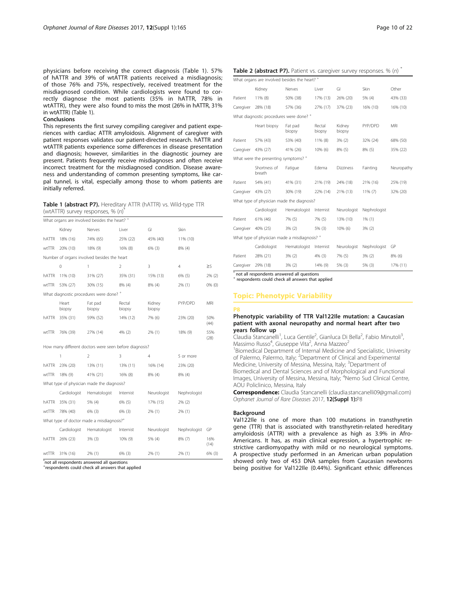physicians before receiving the correct diagnosis (Table 1). 57% of hATTR and 39% of wtATTR patients received a misdiagnosis; of those 76% and 75%, respectively, received treatment for the misdiagnosed condition. While cardiologists were found to correctly diagnose the most patients (35% in hATTR, 78% in wtATTR), they were also found to miss the most (26% in hATTR, 31% in wtATTR) (Table 1).

#### Conclusions

This represents the first survey compiling caregiver and patient experiences with cardiac ATTR amyloidosis. Alignment of caregiver with patient responses validates our patient-directed research. hATTR and wtATTR patients experience some differences in disease presentation and diagnosis; however, similarities in the diagnostic journey are present. Patients frequently receive misdiagnoses and often receive incorrect treatment for the misdiagnosed condition. Disease awareness and understanding of common presenting symptoms, like carpal tunnel, is vital, especially among those to whom patients are initially referred.

### Table 1 (abstract P7). Hereditary ATTR (hATTR) vs. Wild-type TTR (wtATTR) survey responses, % (n)\*

| What organs are involved besides the heart? +          |                 |                                             |                  |                  |                |             |
|--------------------------------------------------------|-----------------|---------------------------------------------|------------------|------------------|----------------|-------------|
|                                                        | Kidney          | Nerves                                      | Liver            | GI               | Skin           |             |
| hATTR                                                  | 18% (16)        | 74% (65)                                    | 25% (22)         | 45% (40)         | 11% (10)       |             |
| wtTTR                                                  | 20% (10)        | 18% (9)                                     | 16% (8)          | 6% (3)           | 8% (4)         |             |
|                                                        |                 | Number of organs involved besides the heart |                  |                  |                |             |
|                                                        | $\theta$        | 1                                           | $\mathfrak{D}$   | 3                | $\overline{4}$ | $\geq$ 5    |
| <b>hATTR</b>                                           | 11% (10)        | 31% (27)                                    | 35% (31)         | 15% (13)         | 6% (5)         | 2% (2)      |
| wtTTR                                                  | 53% (27)        | 30% (15)                                    | 8% (4)           | 8% (4)           | $2\%$ (1)      | $0%$ $(0)$  |
|                                                        |                 | What diagnostic procedures were done? +     |                  |                  |                |             |
|                                                        | Heart<br>biopsy | Fat pad<br>biopsy                           | Rectal<br>biopsy | Kidney<br>biopsy | PYP/DPD        | MRI         |
| <b>hATTR</b>                                           | 35% (31)        | 59% (52)                                    | 14% (12)         | 7% (6)           | 23% (20)       | 50%<br>(44) |
| wtTTR                                                  | 76% (39)        | 27% (14)                                    | 4% (2)           | 2% (1)           | 18% (9)        | 55%<br>(28) |
| How many different doctors were seen before diagnosis? |                 |                                             |                  |                  |                |             |
|                                                        | 1               | $\mathfrak{D}$                              | 3                | 4                | 5 or more      |             |
| <b>hATTR</b>                                           | 23% (20)        | 13% (11)                                    | 13% (11)         | 16% (14)         | 23% (20)       |             |
| wtTTR                                                  | 18% (9)         | 41% (21)                                    | 16% (8)          | 8% (4)           | 8% (4)         |             |
| What type of physician made the diagnosis?             |                 |                                             |                  |                  |                |             |
|                                                        | Cardiologist    | Hematologist                                | Internist        | Neurologist      | Nephrologist   |             |
| hATTR                                                  | 35% (31)        | 5% (4)                                      | 6% (5)           | 17% (15)         | $2\%$ (2)      |             |
| wtTTR                                                  | 78% (40)        | 6% (3)                                      | 6% (3)           | 2% (1)           | 2% (1)         |             |
| What type of doctor made a misdiagnosis? <sup>+</sup>  |                 |                                             |                  |                  |                |             |
|                                                        | Cardiologist    | Hematologist                                | Internist        | Neurologist      | Nephrologist   | GP          |
| hATTR                                                  | 26% (23)        | 3% (3)                                      | 10% (9)          | 5% (4)           | 8% (7)         | 16%<br>(14) |
| wtTTR                                                  | 31% (16)        | 2% (1)                                      | 6% (3)           | 2% (1)           | 2% (1)         | $6%$ (3)    |

\* not all respondents answered all questions

+ respondents could check all answers that applied

#### Table 2 (abstract P7). Patient vs. caregiver survey responses. % (n)<sup>\*</sup>

|           |                                      | What organs are involved besides the heart? + |                  |                  |              |            |
|-----------|--------------------------------------|-----------------------------------------------|------------------|------------------|--------------|------------|
|           | Kidney                               | Nerves                                        | Liver            | GI               | Skin         | Other      |
| Patient   | 11% (8)                              | 50% (38)                                      | 17% (13)         | 26% (20)         | 5% (4)       | 43% (33)   |
| Caregiver | 28% (18)                             | 57% (36)                                      | 27% (17)         | 37% (23)         | 16% (10)     | 16% (10)   |
|           |                                      | What diagnostic procedures were done? +       |                  |                  |              |            |
|           | Heart biopsy                         | Fat pad<br>biopsy                             | Rectal<br>biopsy | Kidnev<br>biopsy | PYP/DPD      | MRI        |
| Patient   | 57% (43)                             | 53% (40)                                      | 11% (8)          | 3% (2)           | 32% (24)     | 68% (50)   |
|           | Caregiver 43% (27)                   | 41% (26)                                      | 10% (6)          | 8% (5)           | 8% (5)       | 35% (22)   |
|           | What were the presenting symptoms? + |                                               |                  |                  |              |            |
|           | Shortness of<br>breath               | Fatigue                                       | Edema            | Dizziness        | Fainting     | Neuropathy |
| Patient   | 54% (41)                             | 41% (31)                                      | 21% (19)         | 24% (18)         | 21% (16)     | 25% (19)   |
|           | Caregiver 43% (27)                   | 30% (19)                                      | 22% (14)         | 21% (13)         | $11\%$ (7)   | 32% (20)   |
|           |                                      | What type of physician made the diagnosis?    |                  |                  |              |            |
|           | Cardiologist                         | Hematologist                                  | Internist        | Neurologist      | Nephrologist |            |
| Patient   | 61% (46)                             | 7% (5)                                        | 7% (5)           | 13% (10)         | 1% (1)       |            |
|           | Caregiver 40% (25)                   | 3% (2)                                        | $5%$ (3)         | 10% (6)          | 3% (2)       |            |
|           |                                      | What type of physician made a misdiagnosis? + |                  |                  |              |            |
|           | Cardiologist                         | Hematologist                                  | Internist        | Neurologist      | Nephrologist | GP         |
| Patient   | 28% (21)                             | 3% (2)                                        | 4% (3)           | 7% (5)           | 3% (2)       | 8% (6)     |
| Caregiver | 29% (18)                             | 3% (2)                                        | 14% (9)          | $5%$ (3)         | $5%$ (3)     | 17% (11)   |
|           |                                      | not all respondents answered all questions    |                  |                  |              |            |

<sup>+</sup> respondents could check all answers that applied

### Topic: Phenotypic Variability

### P8

#### Phenotypic variability of TTR Val122Ile mutation: a Caucasian patient with axonal neuropathy and normal heart after two years follow up

Claudia Stancanelli<sup>1</sup>, Luca Gentile<sup>2</sup>, Gianluca Di Bella<sup>2</sup>, Fabio Minutoli<sup>3</sup> , Massimo Russo<sup>4</sup>, Giuseppe Vita<sup>2</sup>, Anna Mazzeo<sup>2</sup>

<sup>1</sup>Biomedical Department of Internal Medicine and Specialistic, University of Palermo, Palermo, Italy; <sup>2</sup>Department of Clinical and Experimental Medicine, University of Messina, Messina, Italy; <sup>3</sup>Department of Biomedical and Dental Sciences and of Morphological and Functional Images, University of Messina, Messina, Italy; <sup>4</sup>Nemo Sud Clinical Centre, AOU Policlinico, Messina, Italy

Correspondence: Claudia Stancanelli (claudia.stancanelli09@gmail.com) Orphanet Journal of Rare Diseases 2017, 12(Suppl 1):P8

#### Background

Val122Ile is one of more than 100 mutations in transthyretin gene (TTR) that is associated with transthyretin-related hereditary amyloidosis (ATTR) with a prevalence as high as 3.9% in Afro-Americans. It has, as main clinical expression, a hypertrophic restrictive cardiomyopathy with mild or no neurological symptoms. A prospective study performed in an American urban population showed only two of 453 DNA samples from Caucasian newborns being positive for Val122Ile (0.44%). Significant ethnic differences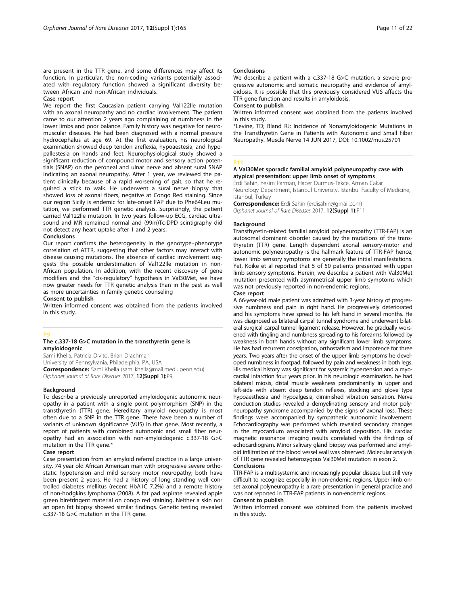are present in the TTR gene, and some differences may affect its function. In particular, the non-coding variants potentially associated with regulatory function showed a significant diversity between African and non-African individuals.

#### Case report

We report the first Caucasian patient carrying Val122Ile mutation with an axonal neuropathy and no cardiac involvement. The patient came to our attention 2 years ago complaining of numbness in the lower limbs and poor balance. Family history was negative for neuromuscular diseases. He had been diagnosed with a normal pressure hydrocephalus at age 69. At the first evaluation, his neurological examination showed deep tendon areflexia, hypoaestesia, and hypopallestesia on hands and feet. Neurophysiological study showed a significant reduction of compound motor and sensory action potentials (SNAP) on the peroneal and ulnar nerve and absent sural SNAP indicating an axonal neuropathy. After 1 year, we reviewed the patient clinically because of a rapid worsening of gait, so that he required a stick to walk. He underwent a sural nerve biopsy that showed loss of axonal fibers, negative at Congo Red staining. Since our region Sicily is endemic for late-onset FAP due to Phe64Leu mutation, we performed TTR genetic analysis. Surprisingly, the patient carried Val122Ile mutation. In two years follow-up ECG, cardiac ultrasound and MR remained normal and (99m)Tc-DPD scintigraphy did not detect any heart uptake after 1 and 2 years.

#### Conclusions

Our report confirms the heterogeneity in the genotype–phenotype correlation of ATTR, suggesting that other factors may interact with disease causing mutations. The absence of cardiac involvement suggests the possible understimation of Val122Ile mutation in non-African population. In addition, with the recent discovery of gene modifiers and the "cis-regulatory" hypothesis in Val30Met, we have now greater needs for TTR genetic analysis than in the past as well as more uncertainties in family genetic counseling

#### Consent to publish

Written informed consent was obtained from the patients involved in this study.

#### P9

#### The c.337-18 G>C mutation in the transthyretin gene is amyloidogenic

Sami Khella, Patricia Divito, Brian Drachman University of Pennsylvania, Philadelphia, PA, USA Correspondence: Sami Khella (sami.khella@mail.med.upenn.edu) Orphanet Journal of Rare Diseases 2017, 12(Suppl 1):P9

#### Background

To describe a previously unreported amyloidogenic autonomic neuropathy in a patient with a single point polymorphism (SNP) in the transthyretin (TTR) gene. Hereditary amyloid neuropathy is most often due to a SNP in the TTR gene. There have been a number of variants of unknown significance (VUS) in that gene. Most recently, a report of patients with combined autonomic and small fiber neuropathy had an association with non-amyloidogenic c.337-18 G>C mutation in the TTR gene.\*

#### Case report

Case presentation from an amyloid referral practice in a large university. 74 year old African American man with progressive severe orthostatic hypotension and mild sensory motor neuropathy; both have been present 2 years. He had a history of long standing well controlled diabetes mellitus (recent HbA1C 7.2%) and a remote history of non-hodgkins lymphoma (2008). A fat pad aspirate revealed apple green birefringent material on congo red staining. Neither a skin nor an open fat biopsy showed similar findings. Genetic testing revealed c.337-18 G>C mutation in the TTR gene.

#### Conclusions

We describe a patient with a c.337-18 G>C mutation, a severe progressive autonomic and somatic neuropathy and evidence of amyloidosis. It is possible that this previously considered VUS affects the TTR gene function and results in amyloidosis.

#### Consent to publish

Written informed consent was obtained from the patients involved in this study.

\*Levine, TD; Bland RJ: Incidence of Nonamyloidogenic Mutations in the Transthyretin Gene in Patients with Autonomic and Small Fiber Neuropathy. Muscle Nerve 14 JUN 2017, DOI: 10.1002/mus.25701

### P11

#### A Val30Met sporadic familial amyloid polyneuropathy case with atypical presentation: upper limb onset of symptoms

Erdi Sahin, Yesim Parman, Hacer Durmus-Tekce, Arman Cakar Neurology Department, Istanbul University, Istanbul Faculty of Medicine, Istanbul, Turkey

Correspondence: Erdi Sahin (erdisahin@gmail.com) Orphanet Journal of Rare Diseases 2017, 12(Suppl 1):P11

#### **Background**

Transthyretin-related familial amyloid polyneuropathy (TTR-FAP) is an autosomal dominant disorder caused by the mutations of the transthyretin (TTR) gene. Length dependent axonal sensory-motor and autonomic polyneuropathy is the hallmark feature of TTR-FAP hence, lower limb sensory symptoms are generally the initial manifestations. Yet, Koike et al reported that 5 of 50 patients presented with upper limb sensory symptoms. Herein, we describe a patient with Val30Met mutation presented with asymmetrical upper limb symptoms which was not previously reported in non-endemic regions.

Case report

A 66-year-old male patient was admitted with 3-year history of progressive numbness and pain in right hand. He progressively deteriorated and his symptoms have spread to his left hand in several months. He was diagnosed as bilateral carpal tunnel syndrome and underwent bilateral surgical carpal tunnel ligament release. However, he gradually worsened with tingling and numbness spreading to his forearms followed by weakness in both hands without any significant lower limb symptoms. He has had recurrent constipation, orthostatism and impotence for three years. Two years after the onset of the upper limb symptoms he developed numbness in footpad, followed by pain and weakness in both legs. His medical history was significant for systemic hypertension and a myocardial infarction four years prior. In his neurologic examination, he had bilateral miosis, distal muscle weakness predominantly in upper and left-side with absent deep tendon reflexes, stocking and glove type hypoaesthesia and hypoalgesia, diminished vibration sensation. Nerve conduction studies revealed a demyelinating sensory and motor polyneuropathy syndrome accompanied by the signs of axonal loss. These findings were accompanied by sympathetic autonomic involvement. Echocardiography was performed which revealed secondary changes in the myocardium associated with amyloid deposition. His cardiac magnetic resonance imaging results correlated with the findings of echocardiogram. Minor salivary gland biopsy was performed and amyloid infiltration of the blood vessel wall was observed. Molecular analysis of TTR gene revealed heterozygous Val30Met mutation in exon 2. Conclusions

TTR-FAP is a multisystemic and increasingly popular disease but still very difficult to recognize especially in non-endemic regions. Upper limb onset axonal polyneuropathy is a rare presentation in general practice and was not reported in TTR-FAP patients in non-endemic regions.

#### Consent to publish

Written informed consent was obtained from the patients involved in this study.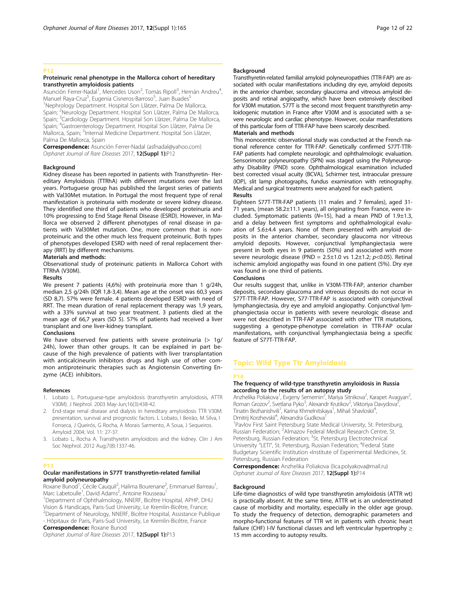#### P12

#### Proteinuric renal phenotype in the Mallorca cohort of hereditary transthyretin amyloidosis patients

Asunción Ferrer-Nadal<sup>1</sup>, Mercedes Uson<sup>2</sup>, Tomás Ripoll<sup>3</sup>, Hernán Andreu<sup>4</sup> , Manuel Raya-Cruz<sup>5</sup>, Eugenia Cisneros-Barroso<sup>5</sup>, Juan Buades<sup>5</sup> 1 Nephrology Department. Hospital Son Llàtzer, Palma De Mallorca, Spain; <sup>2</sup>Neurology Department. Hospital Son Llàtzer, Palma De Mallorca, Spain; <sup>3</sup>Cardiology Department. Hospital Son Llàtzer, Palma De Mallorca, Spain; <sup>4</sup> Gastroenterology Department. Hospital Son Llàtzer, Palma De Mallorca, Spain; <sup>5</sup>Internal Medicine Department. Hospital Son Llàtzer, Palma De Mallorca, Spain

Correspondence: Asunción Ferrer-Nadal (asfnadal@yahoo.com) Orphanet Journal of Rare Diseases 2017, 12(Suppl 1):P12

#### Background

Kidney disease has been reported in patients with Transthyretin- Hereditary Amyloidosis (TTRhA) with different mutations over the last years. Portuguese group has published the largest series of patients with Val30Met mutation. In Portugal the most frequent type of renal manifestation is proteinuria with moderate or severe kidney disease. They identified one third of patients who developed proteinuria and 10% progressing to End Stage Renal Disease (ESRD). However, in Mallorca we observed 2 different phenotypes of renal disease in patients with Val30Met mutation. One, more common that is nonproteinuric and the other much less frequent proteinuric. Both types of phenotypes developed ESRD with need of renal replacement therapy (RRT) by different mechanisms.

#### Materials and methods:

Observational study of proteinuric patients in Mallorca Cohort with TTRhA (V30M).

#### **Results**

We present 7 patients (4,6%) with proteinuria more than 1 g/24h, median 2,5 g/24h (IQR 1,8-3,4). Mean age at the onset was 60,3 years (SD 8,7). 57% were female. 4 patients developed ESRD with need of RRT. The mean duration of renal replacement therapy was 1,9 years, with a 33% survival at two year treatment. 3 patients died at the mean age of 66,7 years (SD 5). 57% of patients had received a liver transplant and one liver-kidney transplant.

#### Conclusions

We have observed few patients with severe proteinuria  $(> 1q/$ 24h), lower than other groups. It can be explained in part because of the high prevalence of patients with liver transplantation with anticalcineurin inhibitors drugs and high use of other common antiproteinuric therapies such as Angiotensin Converting Enzyme (ACE) inhibitors.

#### References

- 1. Lobato L. Portuguese-type amyloidosis (transthyretin amyloidosis, ATTR V30M). J Nephrol. 2003 May-Jun;16(3):438-42.
- 2. End-stage renal disease and dialysis in hereditary amyloidosis TTR V30M: presentation, survival and prognostic factors. L Lobato, I Beirão, M Silva, I Fonseca, J Queirós, G Rocha, A Morais Sarmento, A Soua, J Sequeiros. Amyloid 2004; Vol. 11: 27-37.
- 3. Lobato L, Rocha A. Transthyretin amyloidosis and the kidney. Clin J Am Soc Nephrol. 2012 Aug;7(8):1337-46.

#### P13

#### Ocular manifestations in S77T transthyretin-related familial amyloid polyneuropathy

Roxane Bunod<sup>1</sup>, Cécile Cauquil<sup>2</sup>, Halima Bourenane<sup>2</sup>, Emmanuel Barreau<sup>1</sup> , Marc Labetoulle<sup>1</sup>, David Adams<sup>2</sup>, Antoine Rousseau<sup>1</sup>

1 Department of Ophthalmology, NNERF, Bicêtre Hospital, APHP, DHU Vision & Handicaps, Paris-Sud University, Le Kremlin-Bicêtre, France; 2 Department of Neurology, NNERF, Bicêtre Hospital, Assistance Publique - Hôpitaux de Paris, Paris-Sud University, Le Kremlin-Bicêtre, France

**Correspondence: Roxane Bunod** 

Orphanet Journal of Rare Diseases 2017, 12(Suppl 1):P13

#### Background

Transthyretin-related familial amyloid polyneuropathies (TTR-FAP) are associated with ocular manifestations including dry eye, amyloid deposits in the anterior chamber, secondary glaucoma and vitreous amyloid deposits and retinal angiopathy, which have been extensively described for V30M mutation. S77T is the second most frequent transthyretin amyloidogenic mutation in France after V30M and is associated with a severe neurologic and cardiac phenotype. However, ocular manifestations of this particular form of TTR-FAP have been scarcely described.

#### Materials and methods

This monocentric observational study was conducted at the French national reference center for TTR-FAP. Genetically confirmed S77T-TTR-FAP patients had complete neurologic and ophthalmologic evaluation. Sensorimotor polyneuropathy (SPN) was staged using the Polyneuropathy Disability (PND) score. Ophthalmological examination included best corrected visual acuity (BCVA), Schirmer test, intraocular pressure (IOP), slit lamp photographs, fundus examination with retinography. Medical and surgical treatments were analyzed for each patient. Results

Eighteen S77T-TTR-FAP patients (11 males and 7 females), aged 31- 71 years, (mean 58.2±11.1 years), all originating from France, were included. Symptomatic patients ( $N=15$ ), had a mean PND of 1.9 $\pm$ 1.3, and a delay between first symptoms and ophthalmological evaluation of 5.6±4.4 years. None of them presented with amyloid deposits in the anterior chamber, secondary glaucoma nor vitreous amyloid deposits. However, conjunctival lymphangiectasia were present in both eyes in 9 patients (50%) and associated with more severe neurologic disease (PND =  $2.5\pm1.0$  vs  $1.2\pm1.2$ ;  $p<0.05$ ). Retinal ischemic amyloid angiopathy was found in one patient (5%). Dry eye was found in one third of patients.

Conclusions

Our results suggest that, unlike in V30M-TTR-FAP, anterior chamber deposits, secondary glaucoma and vitreous deposits do not occur in S77T-TTR-FAP. However, S77-TTR-FAP is associated with conjunctival lymphangiectasia, dry eye and amyloid angiopathy. Conjunctival lymphangiectasia occur in patients with severe neurologic disease and were not described in TTR-FAP associated with other TTR mutations, suggesting a genotype-phenotype correlation in TTR-FAP ocular manifestations, with conjunctival lymphangiectasia being a specific feature of S77T-TTR-FAP.

### Topic: Wild Type Ttr Amyloidosis

#### P14

#### The frequency of wild-type transthyretin amyloidosis in Russia according to the results of an autopsy study

Anzhelika Poliakova<sup>1</sup>, Evgeny Semernin<sup>2</sup>, Mariya Sitnikova<sup>2</sup>, Karapet Avagyan<sup>2</sup> , Roman Grozov<sup>2</sup>, Svetlana Pyko<sup>3</sup>, Alexandr Krutikov<sup>2</sup>, Viktoriya Davydova<sup>2</sup> , Tinatin Bezhanishvili<sup>1</sup>, Karina Khmelnitskaya<sup>1</sup>, Mihail Shavloskii<sup>4</sup> , Dmitrij Korzhevskii<sup>4</sup>, Alexandra Gudkova<sup>1</sup>

<sup>1</sup>Pavlov First Saint Petersburg State Medical University, St. Petersburg, Russian Federation; <sup>2</sup>Almazov Federal Medical Research Centre, St. Petersburg, Russian Federation; <sup>3</sup>St. Petersburg Electrotechnical University "LETI", St. Petersburg, Russian Federation; <sup>4</sup>Federal State Budgetary Scientific Institution «Institute of Experimental Medicine», St. Petersburg, Russian Federation

Correspondence: Anzhelika Poliakova (lica.polyakova@mail.ru) Orphanet Journal of Rare Diseases 2017, 12(Suppl 1):P14

#### Background

Life-time diagnostics of wild type transthyretin amyloidosis (ATTR wt) is practically absent. At the same time, ATTR wt is an underestimated cause of morbidity and mortality, especially in the older age group. To study the frequency of detection, demographic parameters and morpho-functional features of TTR wt in patients with сhronic heart failure (CHF) I-IV functional classes and left ventricular hypertrophy  $\geq$ 15 mm according to autopsy results.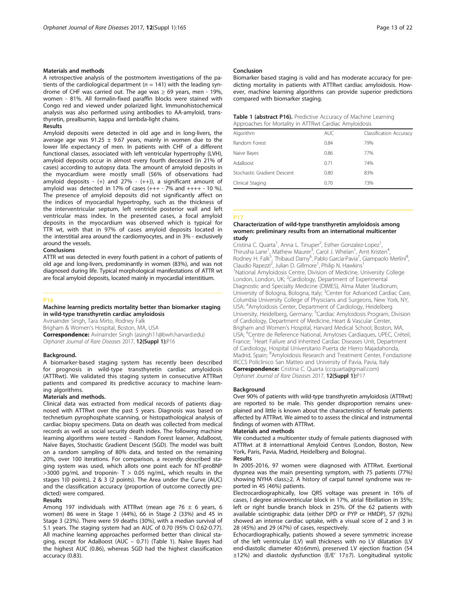#### Materials and methods

A retrospective analysis of the postmortem investigations of the patients of the cardiological department ( $n = 141$ ) with the leading syndrome of CHF was carried out. The age was  $\geq$  69 years, men - 19%, women - 81%. All formalin-fixed paraffin blocks were stained with Congo red and viewed under polarized light. Immunohistochemical analysis was also performed using antibodies to AA-amyloid, transthyretin, prealbumin, kappa and lambda-light chains.

#### Results

Amyloid deposits were detected in old age and in long-livers, the average age was 91.25  $\pm$  9.67 years, mainly in women due to the lower life expectancy of men. In patients with CHF of a different functional classes, associated with left ventricular hypertrophy (LVH), amyloid deposits occur in almost every fourth deceased (in 21% of cases) according to autopsy data. The amount of amyloid deposits in the myocardium were mostly small (56% of observations had amyloid deposits -  $(+)$  and 27% -  $(++)$ , a significant amount of amyloid was detected in 17% of cases  $(+++ - 7\%$  and  $+++ - 10\%)$ . The presence of amyloid deposits did not significantly affect on the indices of myocardial hypertrophy, such as the thickness of the interventricular septum, left ventricle posterior wall and left ventricular mass index. In the presented cases, a focal amyloid deposits in the myocardium was observed which is typical for TTR wt, with that in 97% of cases amyloid deposits located in the interstitial area around the cardiomyocytes, and in 3% - exclusively around the vessels.

#### Conclusions

ATTR wt was detected in every fourth patient in a cohort of patients of old age and long-livers, predominantly in women (83%), and was not diagnosed during life. Typical morphological manifestations of ATTR wt are focal amyloid deposits, located mainly in myocardial interstitium.

#### P16

#### Machine learning predicts mortality better than biomarker staging in wild-type transthyretin cardiac amyloidosis

Avinainder Singh, Tara Mirto, Rodney Falk Brigham & Women's Hospital, Boston, MA, USA

Correspondence: Avinainder Singh (asingh11@bwh.harvard.edu) Orphanet Journal of Rare Diseases 2017, 12(Suppl 1):P16

#### Background.

A biomarker-based staging system has recently been described for prognosis in wild-type transthyretin cardiac amyloidosis (ATTRwt). We validated this staging system in consecutive ATTRwt patients and compared its predictive accuracy to machine learning algorithms.

#### Materials and methods.

Clinical data was extracted from medical records of patients diagnosed with ATTRwt over the past 5 years. Diagnosis was based on technetium pyrophosphate scanning, or histopathological analysis of cardiac biopsy specimens. Data on death was collected from medical records as well as social security death index. The following machine learning algorithms were tested – Random Forest learner, AdaBoost, Naïve Bayes, Stochastic Gradient Descent (SGD). The model was built on a random sampling of 80% data, and tested on the remaining 20%, over 100 iterations. For comparison, a recently described staging system was used, which allots one point each for NT-proBNP >3000 pg/mL and troponin-  $T > 0.05$  ng/mL, which results in the stages 1(0 points), 2 & 3 (2 points). The Area under the Curve (AUC) and the classification accuracy (proportion of outcome correctly predicted) were compared.

#### Results

Among 197 individuals with ATTRwt (mean age 76  $\pm$  6 years, 6 women) 86 were in Stage 1 (44%), 66 in Stage 2 (33%) and 45 in Stage 3 (23%). There were 59 deaths (30%), with a median survival of 5.1 years. The staging system had an AUC of 0.70 (95% CI 0.62-0.77). All machine learning approaches performed better than clinical staging, except for AdaBoost (AUC – 0.71) (Table 1). Naïve Bayes had the highest AUC (0.86), whereas SGD had the highest classification accuracy (0.83).

#### Conclusion

Biomarker based staging is valid and has moderate accuracy for predicting mortality in patients with ATTRwt cardiac amyloidosis. However, machine learning algorithms can provide superior predictions compared with biomarker staging.

#### Table 1 (abstract P16). Predictive Accuracy of Machine Learning Approaches for Mortality in ATTRwt Cardiac Amyloidosis

| Algorithm                   | <b>AUC</b> | Classification Accuracy |
|-----------------------------|------------|-------------------------|
| Random Forest               | 0.84       | 79%                     |
| Naive Bayes                 | 0.86       | 77%                     |
| AdaBoost                    | 0.71       | 74%                     |
| Stochastic Gradient Descent | 0.80       | 83%                     |
| Clinical Staging            | 0.70       | 73%                     |

D<sub>17</sub>

#### Characterization of wild-type transthyretin amyloidosis among women: preliminary results from an international multicenter study

Cristina C. Quarta<sup>1</sup>, Anna L. Tinuper<sup>2</sup>, Esther Gonzalez-Lopez<sup>1</sup> , Thirusha Lane<sup>1</sup>, Mathew Maurer<sup>3</sup>, Carol J. Whelan<sup>1</sup>, Arnt Kristen<sup>4</sup> , Rodney H. Falk<sup>5</sup>, Thibaud Damy<sup>6</sup>, Pablo Garcia-Pavia<sup>7</sup>, Giampaolo Merlini<sup>8</sup> , Claudio Rapezzi<sup>2</sup>, Julian D. Gillmore<sup>1</sup>, Philip N. Hawkins<sup>1</sup> <sup>1</sup>National Amyloidosis Centre, Division of Medicine, University College London, London, UK; <sup>2</sup>Cardiology, Department of Experimental Diagnostic and Specialty Medicine (DIMES), Alma Mater Studiorum, University of Bologna, Bologna, Italy; <sup>3</sup>Center for Advanced Cardiac Care Columbia University College of Physicians and Surgeons, New York, NY, USA; <sup>4</sup> Amyloidosis Center, Department of Cardiology, Heidelberg University, Heidelberg, Germany; <sup>5</sup>Cardiac Amyloidosis Program, Division of Cardiology, Department of Medicine, Heart & Vascular Center, Brigham and Women's Hospital, Harvard Medical School, Boston, MA, USA; <sup>6</sup>Centre de Reference National, Amyloses Cardiaques, UPEC, Créteil, France; <sup>7</sup> Heart Failure and Inherited Cardiac Diseases Unit, Department of Cardiology, Hospital Universitario Puerta de Hierro Majadahonda, Madrid, Spain; <sup>8</sup>Amyloidosis Research and Treatment Center, Fondazione IRCCS Policlinico San Matteo and University of Pavia, Pavia, Italy Correspondence: Cristina C. Quarta (ccquarta@gmail.com) Orphanet Journal of Rare Diseases 2017, 12(Suppl 1):P17

#### Background

Over 90% of patients with wild-type transthyretin amyloidosis (ATTRwt) are reported to be male. This gender disproportion remains unexplained and little is known about the characteristics of female patients affected by ATTRwt. We aimed to to assess the clinical and instrumental findings of women with ATTRwt.

#### Materials and methods

We conducted a multicenter study of female patients diagnosed with ATTRwt at 8 internattional Amyloid Centres (London, Boston, New York, Paris, Pavia, Madrid, Heidelberg and Bologna).

### Results

In 2005-2016, 97 women were diagnosed with ATTRwt. Exertional dyspnea was the main presenting symptom, with 75 patients (77%) showing NYHA class≥2. A history of carpal tunnel syndrome was reported in 45 (46%) patients.

Electrocardiographically, low QRS voltage was present in 16% of cases, I degree atrioventricular block in 17%, atrial fibrillation in 35%; left or right bundle branch block in 25%. Of the 62 patients with available scintigraphic data (either DPD or PYP or HMDP), 57 (92%) showed an intense cardiac uptake, with a visual score of 2 and 3 in 28 (45%) and 29 (47%) of cases, respectively.

Echocardiographically, patients showed a severe symmetric increase of the left ventricular (LV) wall thickness with no LV dilatation (LV end-diastolic diameter 40±6mm), preserved LV ejection fraction (54 ±12%) and diastolic dysfunction (E/E' 17±7). Longitudinal systolic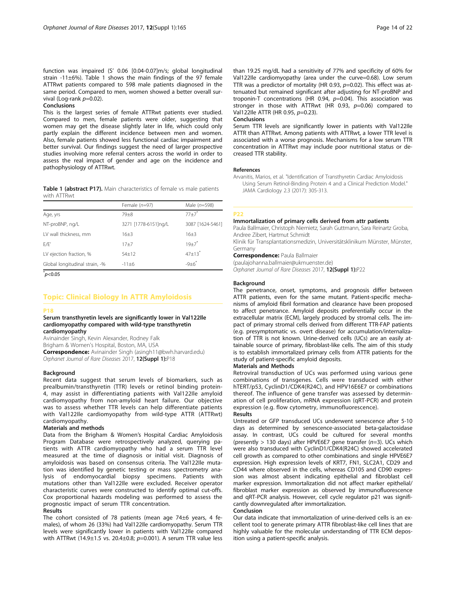function was impaired (S' 0.06 [0.04-0.07]m/s; global longitudinal strain -11±6%). Table 1 shows the main findings of the 97 female ATTRwt patients compared to 598 male patients diagnosed in the same period. Compared to men, women showed a better overall survival (Log-rank p=0.02).

#### Conclusions

This is the largest series of female ATTRwt patients ever studied. Compared to men, female patients were older, suggesting that women may get the disease slightly later in life, which could only partly explain the different incidence between men and women. Also, female patients showed less functional cardiac impairment and better survival. Our findings suggest the need of larger prospective studies involving more referral centers across the world in order to assess the real impact of gender and age on the incidence and pathophysiology of ATTRwt.

Table 1 (abstract P17). Main characteristics of female vs male patients with ATTRwt

|                                | Female $(n=97)$      | Male $(n=598)$       |
|--------------------------------|----------------------|----------------------|
| Age, yrs                       | $79 + 8$             | $77+7$ <sup>*</sup>  |
| NT-proBNP, ng/L                | 3271 [1778-6151]ng/L | 3087 [1624-5461]     |
| LV wall thickness, mm          | $16+3$               | 16±3                 |
| E/E'                           | $17 + 7$             | $19+7$ <sup>*</sup>  |
| LV ejection fraction, %        | $54+12$              | $47+13$ <sup>*</sup> |
| Global longitudinal strain, -% | $-11+6$              | $-9+6"$              |

 $p$  < 0.05

### Topic: Clinical Biology In ATTR Amyloidosis

#### P18

#### Serum transthyretin levels are significantly lower in Val122Ile cardiomyopathy compared with wild-type transthyretin cardiomyopathy

Avinainder Singh, Kevin Alexander, Rodney Falk Brigham & Women's Hospital, Boston, MA, USA Correspondence: Avinainder Singh (asingh11@bwh.harvard.edu) Orphanet Journal of Rare Diseases 2017, 12(Suppl 1):P18

#### Background

Recent data suggest that serum levels of biomarkers, such as prealbumin/transthyretin (TTR) levels or retinol binding protein-4, may assist in differentiating patients with Val122Ile amyloid cardiomyopathy from non-amyloid heart failure. Our objective was to assess whether TTR levels can help differentiate patients with Val122Ile cardiomyopathy from wild-type ATTR (ATTRwt) cardiomyopathy.

#### Materials and methods

Data from the Brigham & Women's Hospital Cardiac Amyloidosis Program Database were retrospectively analyzed, querying patients with ATTR cardiomyopathy who had a serum TTR level measured at the time of diagnosis or initial visit. Diagnosis of amyloidosis was based on consensus criteria. The Val122Ile mutation was identified by genetic testing or mass spectrometry analysis of endomyocardial biopsy specimens. Patients with mutations other than Val122Ile were excluded. Receiver operator characteristic curves were constructed to identify optimal cut-offs. Cox proportional hazards modeling was performed to assess the prognostic impact of serum TTR concentration.

#### Results

The cohort consisted of 78 patients (mean age 74±6 years, 4 females), of whom 26 (33%) had Val122Ile cardiomyopathy. Serum TTR levels were significantly lower in patients with Val122Ile compared with ATTRwt (14.9 $\pm$ 1.5 vs. 20.4 $\pm$ 0.8; p=0.001). A serum TTR value less than 19.25 mg/dL had a sensitivity of 77% and specificity of 60% for Val122Ile cardiomyopathy (area under the curve=0.68). Low serum TTR was a predictor of mortality (HR 0.93,  $p=0.02$ ). This effect was attenuated but remained significant after adjusting for NT-proBNP and troponin-T concentrations (HR 0.94,  $p=0.04$ ). This association was stronger in those with ATTRwt (HR 0.93,  $p=0.06$ ) compared to Val122Ile ATTR (HR 0.95, p=0.23).

#### Conclusions

Serum TTR levels are significantly lower in patients with Val122Ile ATTR than ATTRwt. Among patients with ATTRwt, a lower TTR level is associated with a worse prognosis. Mechanisms for a low serum TTR concentration in ATTRwt may include poor nutritional status or decreased TTR stability.

#### References

#### P22

#### Immortalization of primary cells derived from attr patients

Paula Ballmaier, Christoph Niemietz, Sarah Guttmann, Sara Reinartz Groba, Andree Zibert, Hartmut Schmidt

Klinik für Transplantationsmedizin, Universitätsklinikum Münster, Münster, Germany

**Correspondence: Paula Ballmaier** 

(paulajohanna.ballmaier@ukmuenster.de)

Orphanet Journal of Rare Diseases 2017, 12(Suppl 1):P22

#### **Background**

The penetrance, onset, symptoms, and prognosis differ between ATTR patients, even for the same mutant. Patient-specific mechanisms of amyloid fibril formation and clearance have been proposed to affect penetrance. Amyloid deposits preferentially occur in the extracellular matrix (ECM), largely produced by stromal cells. The impact of primary stromal cells derived from different TTR-FAP patients (e.g. presymptomatic vs. overt disease) for accumulation/internalization of TTR is not known. Urine-derived cells (UCs) are an easily attainable source of primary, fibroblast-like cells. The aim of this study is to establish immortalized primary cells from ATTR patients for the study of patient-specific amyloid deposits.

#### Materials and Methods

Retroviral transduction of UCs was performed using various gene combinations of transgenes. Cells were transduced with either hTERT/p53, CyclinD1/CDK4(R24C), and HPV16E6E7 or combinations thereof. The influence of gene transfer was assessed by determination of cell proliferation, mRNA expression (qRT-PCR) and protein expression (e.g. flow cytometry, immunofluorescence).

#### Results

Untreated or GFP transduced UCs underwent senescence after 5-10 days as determined by senescence-associated beta-galactosidase assay. In contrast, UCs could be cultured for several months (presently  $> 130$  days) after HPVE6E7 gene transfer ( $n=3$ ). UCs which were also transduced with CyclinD1/CDK4(R24C) showed accelerated cell growth as compared to other combinations and single HPVE6E7 expression. High expression levels of KRT7, FN1, SLC2A1, CD29 and CD44 where observed in the cells, whereas CD105 and CD90 expression was almost absent indicating epithelial and fibroblast cell marker expression. Immortalization did not affect marker epithelial/ fibroblast marker expression as observed by immunofluorescence and qRT-PCR analysis. However, cell cycle regulator p21 was significantly downregulated after immortalization.

#### Conclusion

Our data indicate that immortalization of urine-derived cells is an excellent tool to generate primary ATTR fibroblast-like cell lines that are highly valuable for the molecular understanding of TTR ECM deposition using a patient-specific analysis.

Arvanitis, Marios, et al. "Identification of Transthyretin Cardiac Amyloidosis Using Serum Retinol-Binding Protein 4 and a Clinical Prediction Model." JAMA Cardiology 2.3 (2017): 305-313.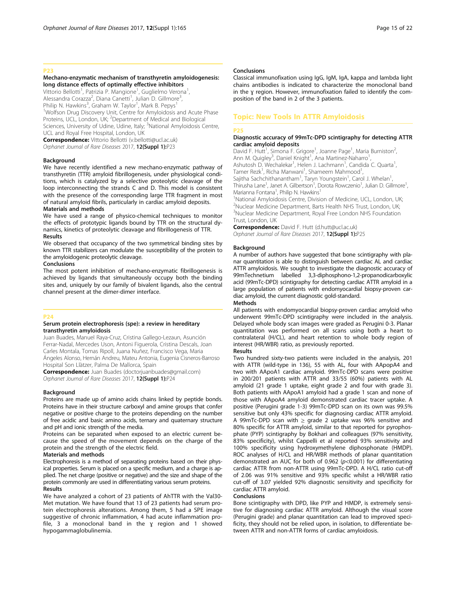#### P23

#### Mechano-enzymatic mechanism of transthyretin amyloidogenesis: long distance effects of optimally effective inhibitors

Vittorio Bellotti<sup>1</sup>, Patrizia P. Mangione<sup>1</sup>, Guglielmo Verona<sup>1</sup> , Alessandra Corazza<sup>2</sup>, Diana Canetti<sup>1</sup>, Julian D. Gillmore<sup>3</sup> , Philip N. Hawkins<sup>3</sup>, Graham W. Taylor<sup>1</sup>, Mark B. Pepys<sup>1</sup> <sup>1</sup>Wolfson Drug Discovery Unit, Centre for Amyloidosis and Acute Phase Proteins, UCL, London, UK; <sup>2</sup>Department of Medical and Biological Sciences, University of Udine, Udine, Italy; <sup>3</sup>National Amyloidosis Centre, UCL and Royal Free Hospital, London, UK

Correspondence: Vittorio Bellotti (v.bellotti@ucl.ac.uk) Orphanet Journal of Rare Diseases 2017, 12(Suppl 1):P23

#### **Background**

We have recently identified a new mechano-enzymatic pathway of transthyretin (TTR) amyloid fibrillogenesis, under physiological conditions, which is catalyzed by a selective proteolytic cleavage of the loop interconnecting the strands C and D. This model is consistent with the presence of the corresponding large TTR fragment in most of natural amyloid fibrils, particularly in cardiac amyloid deposits.

#### Materials and methods

We have used a range of physico-chemical techniques to monitor the effects of prototypic ligands bound by TTR on the structural dynamics, kinetics of proteolytic cleavage and fibrillogenesis of TTR. Results

We observed that occupancy of the two symmetrical binding sites by known TTR stabilizers can modulate the susceptibility of the protein to the amyloidogenic proteolytic cleavage.

#### Conclusions

The most potent inhibition of mechano-enzymatic fibrillogenesis is achieved by ligands that simultaneously occupy both the binding sites and, uniquely by our family of bivalent ligands, also the central channel present at the dimer-dimer interface.

#### P24

#### Serum protein electrophoresis (spe): a review in hereditary transthyretin amyloidosis

Juan Buades, Manuel Raya-Cruz, Cristina Gallego-Lezaun, Asunción Ferrar-Nadal, Mercedes Uson, Antoni Figuerola, Cristina Descals, Joan Carles Montala, Tomas Ripoll, Juana Nuñez, Francisco Vega, Maria Ángeles Alonso, Hernán Andreu, Mateu Antonia, Eugenia Cisneros-Barroso Hospital Son Llàtzer, Palma De Mallorca, Spain

Correspondence: Juan Buades (doctorjuanbuades@gmail.com) Orphanet Journal of Rare Diseases 2017, 12(Suppl 1):P24

#### **Background**

Proteins are made up of amino acids chains linked by peptide bonds. Proteins have in their structure carboxyl and amine groups that confer negative or positive charge to the proteins depending on the number of free acidic and basic amino acids, ternary and quaternary structure and pH and ionic strength of the media.

Proteins can be separated when exposed to an electric current because the speed of the movement depends on the charge of the protein and the strength of the electric field.

### Materials and methods

Electrophoresis is a method of separating proteins based on their physical properties. Serum is placed on a specific medium, and a charge is applied. The net charge (positive or negative) and the size and shape of the protein commonly are used in differentiating various serum proteins. **Results** 

We have analyzed a cohort of 23 patients of AhTTR with the Val30- Met mutation. We have found that 13 of 23 patients had serum protein electrophoresis alterations. Among them, 5 had a SPE image suggestive of chronic inflammation, 4 had acute inflammation profile, 3 a monoclonal band in the ɣ region and 1 showed hypogammaglobulinemia.

#### Conclusions

Classical immunofixation using IgG, IgM, IgA, kappa and lambda light chains antibodies is indicated to characterize the monoclonal band in the ɣ region. However, immunofixation failed to identify the composition of the band in 2 of the 3 patients.

### Topic: New Tools In ATTR Amyloidosis

#### P25

#### Diagnostic accuracy of 99mTc-DPD scintigraphy for detecting ATTR cardiac amyloid deposits

David F. Hutt<sup>1</sup>, Simona F. Grigore<sup>1</sup>, Joanne Page<sup>1</sup>, Maria Burniston<sup>2</sup> Ann M. Quigley<sup>3</sup>, Daniel Knight<sup>1</sup>, Ana Martinez-Naharro<sup>1</sup> , Ashutosh D. Wechalekar<sup>1</sup>, Helen J. Lachmann<sup>1</sup>, Candida C. Quarta<sup>1</sup> , Tamer Rezk<sup>1</sup>, Richa Manwani<sup>1</sup>, Shameem Mahmood<sup>1</sup> , Sajitha Sachchithanantham<sup>1</sup>, Taryn Youngstein<sup>1</sup>, Carol J. Whelan<sup>1</sup> , Thirusha Lane<sup>1</sup>, Janet A. Gilbertson<sup>1</sup>, Dorota Rowczenio<sup>1</sup>, Julian D. Gillmore<sup>1</sup> , Marianna Fontana<sup>1</sup>, Philip N. Hawkins<sup>1</sup>

<sup>1</sup>National Amyloidosis Centre, Division of Medicine, UCL, London, UK <sup>2</sup>Nuclear Medicine Department, Barts Health NHS Trust, London, UK <sup>3</sup>Nuclear Medicine Department, Royal Free London NHS Foundation Trust, London, UK

Correspondence: David F. Hutt (d.hutt@ucl.ac.uk) Orphanet Journal of Rare Diseases 2017, 12(Suppl 1):P25

#### Background

A number of authors have suggested that bone scintigraphy with planar quantitation is able to distinguish between cardiac AL and cardiac ATTR amyloidosis. We sought to investigate the diagnostic accuracy of 99mTechnetium labelled 3,3-diphosphono-1,2-propanodicarboxylic acid (99mTc-DPD) scintigraphy for detecting cardiac ATTR amyloid in a large population of patients with endomyocardial biopsy-proven cardiac amyloid, the current diagnostic gold-standard.

Methods

All patients with endomyocardial biopsy-proven cardiac amyloid who underwent 99mTc-DPD scintigraphy were included in the analysis. Delayed whole body scan images were graded as Perugini 0-3. Planar quantitation was performed on all scans using both a heart to contralateral (H/CL), and heart retention to whole body region of interest (HR/WBR) ratio, as previously reported.

#### Results

Two hundred sixty-two patients were included in the analysis, 201 with ATTR (wild-type in 136), 55 with AL, four with AApopA4 and two with AApoA1 cardiac amyloid. 99mTc-DPD scans were positive in 200/201 patients with ATTR and 33/55 (60%) patients with AL amyloid (21 grade 1 uptake, eight grade 2 and four with grade 3). Both patients with AApoA1 amyloid had a grade 1 scan and none of those with AApoA4 amyloid demonstrated cardiac tracer uptake. A positive (Perugini grade 1-3) 99mTc-DPD scan on its own was 99.5% sensitive but only 43% specific for diagnosing cardiac ATTR amyloid. A 99mTc-DPD scan with  $\geq$  grade 2 uptake was 96% sensitive and 80% specific for ATTR amyloid, similar to that reported for pyrophosphate (PYP) scintigraphy by Bokhari and colleagues (97% sensitivity, 83% specificity), whilst Cappelli et al reported 93% sensitivity and 100% specificity using hydroxymethylene diphosphonate (HMDP). ROC analyses of H/CL and HR/WBR methods of planar quantitation demonstrated an AUC for both of 0.962 ( $p$ <0.001) for differentiating cardiac ATTR from non-ATTR using 99mTc-DPD. A H/CL ratio cut-off of 2.06 was 91% sensitive and 93% specific whilst a HR/WBR ratio cut-off of 3.07 yielded 92% diagnostic sensitivity and specificity for cardiac ATTR amyloid.

#### Conclusions

Bone scintigraphy with DPD, like PYP and HMDP, is extremely sensitive for diagnosing cardiac ATTR amyloid. Although the visual score (Perugini grade) and planar quantitation can lead to improved specificity, they should not be relied upon, in isolation, to differentiate between ATTR and non-ATTR forms of cardiac amyloidosis.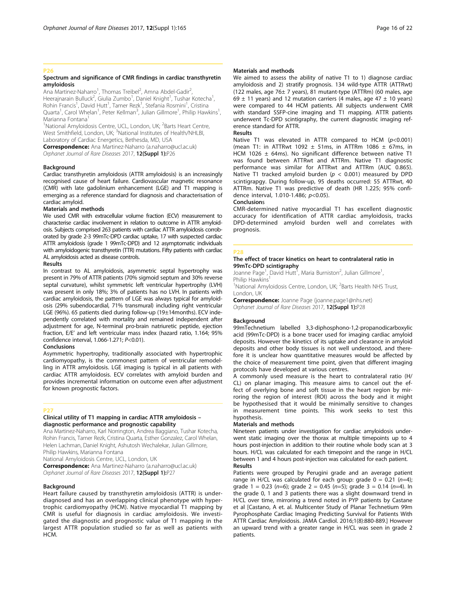#### P26

#### Spectrum and significance of CMR findings in cardiac transthyretin amyloidosis

Ana Martinez-Naharro<sup>1</sup>, Thomas Treibel<sup>2</sup>, Amna Abdel-Gadir<sup>2</sup> , Heerajnarain Bulluck<sup>2</sup>, Giulia Zumbo<sup>1</sup>, Daniel Knight<sup>1</sup>, Tushar Kotecha<sup>1</sup> , Rohin Francis<sup>1</sup>, David Hutt<sup>1</sup>, Tamer Rezk<sup>1</sup>, Stefania Rosmini<sup>1</sup>, Cristina<br>Quarta<sup>1</sup>, Carol Whelan<sup>1</sup>, Peter Kellman<sup>3</sup>, Julian Gillmore<sup>1</sup>, Philip Hawkins<sup>1</sup> , Marianna Fontana<sup>1</sup>

<sup>1</sup>National Amyloidosis Centre, UCL, London, UK; <sup>2</sup>Barts Heart Centre, West Smithfield, London, UK; <sup>3</sup>National Institutes of Health/NHLBI, Laboratory of Cardiac Energetics, Bethesda, MD, USA

Correspondence: Ana Martinez-Naharro (a.naharro@ucl.ac.uk) Orphanet Journal of Rare Diseases 2017, 12(Suppl 1):P26

#### Background

Cardiac transthyretin amyloidosis (ATTR amyloidosis) is an increasingly recognised cause of heart failure. Cardiovascular magnetic resonance (CMR) with late gadolinium enhancement (LGE) and T1 mapping is emerging as a reference standard for diagnosis and characterisation of cardiac amyloid.

#### Materials and methods

We used CMR with extracellular volume fraction (ECV) measurement to characterise cardiac involvement in relation to outcome in ATTR amyloidosis. Subjects comprised 263 patients with cardiac ATTR amyloidosis corroborated by grade 2-3 99mTc-DPD cardiac uptake, 17 with suspected cardiac ATTR amyloidosis (grade 1 99mTc-DPD) and 12 asymptomatic individuals with amyloidogenic transthyretin (TTR) mutations. Fifty patients with cardiac AL amyloidosis acted as disease controls.

#### Results

In contrast to AL amyloidosis, asymmetric septal hypertrophy was present in 79% of ATTR patients (70% sigmoid septum and 30% reverse septal curvature), whilst symmetric left ventricular hypertrophy (LVH) was present in only 18%; 3% of patients has no LVH. In patients with cardiac amyloidosis, the pattern of LGE was always typical for amyloidosis (29% subendocardial, 71% transmural) including right ventricular LGE (96%). 65 patients died during follow-up (19±14months). ECV independently correlated with mortality and remained independent after adjustment for age, N-terminal pro-brain natriuretic peptide, ejection fraction, E/E' and left ventricular mass index (hazard ratio, 1.164; 95% confidence interval, 1.066-1.271; P<0.01).

#### Conclusions

Asymmetric hypertrophy, traditionally associated with hypertrophic cardiomyopathy, is the commonest pattern of ventricular remodelling in ATTR amyloidosis. LGE imaging is typical in all patients with cardiac ATTR amyloidosis. ECV correlates with amyloid burden and provides incremental information on outcome even after adjustment for known prognostic factors.

#### P27

#### Clinical utility of T1 mapping in cardiac ATTR amyloidosis – diagnostic performance and prognostic capability

Ana Martinez-Naharro, Karl Norrington, Andrea Baggiano, Tushar Kotecha, Rohin Francis, Tamer Rezk, Cristina Quarta, Esther Gonzalez, Carol Whelan, Helen Lachman, Daniel Knight, Ashutosh Wechalekar, Julian Gillmore, Philip Hawkins, Marianna Fontana

National Amyloidosis Centre, UCL, London, UK

Correspondence: Ana Martinez-Naharro (a.naharro@ucl.ac.uk) Orphanet Journal of Rare Diseases 2017, 12(Suppl 1):P27

#### Background

Heart failure caused by transthyretin amyloidosis (ATTR) is underdiagnosed and has an overlapping clinical phenotype with hypertrophic cardiomyopathy (HCM). Native myocardial T1 mapping by CMR is useful for diagnosis in cardiac amyloidosis. We investigated the diagnostic and prognostic value of T1 mapping in the largest ATTR population studied so far as well as patients with HCM.

#### Materials and methods

We aimed to assess the ability of native T1 to 1) diagnose cardiac amyloidosis and 2) stratify prognosis. 134 wild-type ATTR (ATTRwt) (122 males, age 76± 7 years), 81 mutant-type (ATTRm) (60 males, age 69  $\pm$  11 years) and 12 mutation carriers (4 males, age 47  $\pm$  10 years) were compared to 44 HCM patients. All subjects underwent CMR with standard SSFP-cine imaging and T1 mapping. ATTR patients underwent Tc-DPD scintigraphy, the current diagnostic imaging reference standard for ATTR.

#### Results

Native T1 was elevated in ATTR compared to HCM  $(p<0.001)$ (mean T1: in ATTRwt 1092  $\pm$  51ms, in ATTRm 1086  $\pm$  67ms, in HCM 1026  $\pm$  64ms). No significant difference between native T1 was found between ATTRwt and ATTRm. Native T1 diagnostic performance was similar for ATTRwt and ATTRm (AUC 0.865). Native T1 tracked amyloid burden ( $p < 0.001$ ) measured by DPD scintigrapgy. During follow-up, 95 deaths occurred: 55 ATTRwt, 40 ATTRm. Native T1 was predictive of death (HR 1.225; 95% confidence interval, 1.010-1.486; p<0.05).

#### **Conclusions**

CMR-determined native myocardial T1 has excellent diagnostic accuracy for identification of ATTR cardiac amyloidosis, tracks DPD-determined amyloid burden well and correlates with prognosis.

#### **D<sub>28</sub>**

#### The effect of tracer kinetics on heart to contralateral ratio in 99mTc-DPD scintigraphy

Joanne Page<sup>1</sup>, David Hutt<sup>1</sup>, Maria Burniston<sup>2</sup>, Julian Gillmore<sup>1</sup> , Philip Hawkins<sup>1</sup>

<sup>1</sup>National Amyloidosis Centre, London, UK; <sup>2</sup>Barts Health NHS Trust, London, UK

Correspondence: Joanne Page (joanne.page1@nhs.net) Orphanet Journal of Rare Diseases 2017, 12(Suppl 1):P28

#### **Background**

99mTechnetium labelled 3,3-diphosphono-1,2-propanodicarboxylic acid (99mTc-DPD) is a bone tracer used for imaging cardiac amyloid deposits. However the kinetics of its uptake and clearance in amyloid deposits and other body tissues is not well understood, and therefore it is unclear how quantitative measures would be affected by the choice of measurement time point, given that different imaging protocols have developed at various centres.

A commonly used measure is the heart to contralateral ratio (H/ CL) on planar imaging. This measure aims to cancel out the effect of overlying bone and soft tissue in the heart region by mirroring the region of interest (ROI) across the body and it might be hypothesised that it would be minimally sensitive to changes in measurement time points. This work seeks to test this hypothesis.

### Materials and methods

Nineteen patients under investigation for cardiac amyloidosis underwent static imaging over the thorax at multiple timepoints up to 4 hours post-injection in addition to their routine whole body scan at 3 hours. H/CL was calculated for each timepoint and the range in H/CL between 1 and 4 hours post-injection was calculated for each patient. Results

Patients were grouped by Perugini grade and an average patient range in H/CL was calculated for each group: grade  $0 = 0.21$  (n=4); grade 1 = 0.23 ( $n=6$ ); grade 2 = 0.45 ( $n=5$ ); grade 3 = 0.14 ( $n=4$ ). In the grade 0, 1 and 3 patients there was a slight downward trend in H/CL over time, mirroring a trend noted in PYP patients by Castane et al [Castano, A et. al. Multicenter Study of Planar Technetium 99m Pyrophosphate Cardiac Imaging Predicting Survival for Patients With ATTR Cardiac Amyloidosis. JAMA Cardiol. 2016;1(8):880-889.] However an upward trend with a greater range in H/CL was seen in grade 2 patients.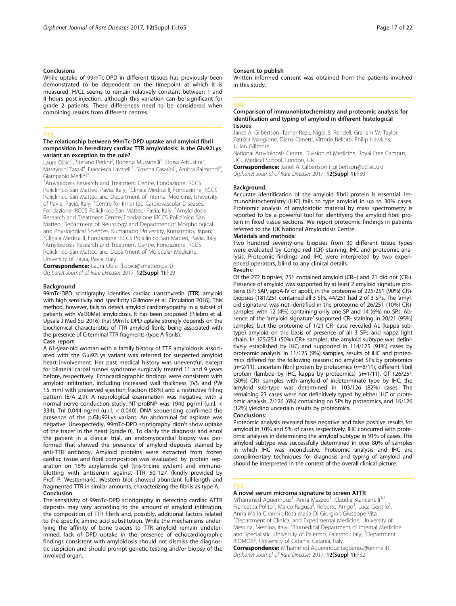#### Conclusions

While uptake of 99mTc-DPD in different tissues has previously been demonstrated to be dependent on the timepoint at which it is measured, H/CL seems to remain relatively constant between 1 and 4 hours post-injection, although this variation can be significant for grade 2 patients. These differences need to be considered when combining results from different centres.

#### P29

#### The relationship between 99mTc-DPD uptake and amyloid fibril composition in hereditary cardiac TTR amyloidosis: is the Glu92Lys variant an exception to the rule?

Laura Obici<sup>1</sup>, Stefano Perlini<sup>2</sup>, Roberta Mussinelli<sup>1</sup>, Eloisa Arbustini<sup>3</sup> , Masayoshi Tasaki<sup>4</sup>, Francesca Lavatelli<sup>1</sup>, Simona Casarini<sup>1</sup>, Ambra Raimondi<sup>5</sup> , Giampaolo Merlini<sup>6</sup>

<sup>1</sup> Amyloidosis Research and Treatment Centre, Fondazione IRCCS Policlinico San Matteo, Pavia, Italy; <sup>2</sup>Clinica Medica II, Fondazione IRCCS Policlinico San Matteo and Department of Internal Medicine, University of Pavia, Pavia, Italy; <sup>3</sup>Centre for Inherited Cardiovascular Diseases, Fondazione IRCCS Policlinico San Matteo, Pavia, Italy; <sup>4</sup>Amyloidosis Research and Treatment Centre, Fondazione IRCCS Policlinico San Matteo, Department of Neurology and Department of Morphological and Physiological Sciences, Kumamoto University, Kumamoto, Japan; <sup>5</sup>Clinica Medica II, Fondazione IRCCS Policlinico San Matteo, Pavia, Italy 6 Amyloidosis Research and Treatment Centre, Fondazione IRCCS Policlinico San Matteo and Department of Molecular Medicine, University of Pavia, Pavia, Italy

Correspondence: Laura Obici (l.obici@smatteo.pv.it) Orphanet Journal of Rare Diseases 2017, 12(Suppl 1):P29

#### **Background**

99mTc-DPD scintigraphy identifies cardiac transthyretin (TTR) amyloid with high sensitivity and specificity (Gillmore et al. Circulation 2016). This method, however, fails to detect amyloid cardiomyopathy in a subset of patients with Val30Met amyloidosis. It has been proposed (Pilebro et al. Upsala J Med Sci 2016) that 99mTc-DPD uptake strongly depends on the biochemical characteristics of TTR amyloid fibrils, being associated with the presence of C-terminal TTR fragments (type A fibrils).

#### Case report

A 61-year-old woman with a family history of TTR amyloidosis associated with the Glu92Lys variant was referred for suspected amyloid heart involvement. Her past medical history was uneventful, except for bilateral carpal tunnel syndrome surgically treated 11 and 9 years before, respectively. Echocardiographic findings were consistent with amyloid infiltration, including increased wall thickness (IVS and PW 15 mm) with preserved ejection fraction (68%) and a restrictive filling pattern (E/A 2,9). A neurological examination was negative, with a normal nerve conduction study. NT-proBNP was 1940 pg/ml (u.r.l. < 334), TnI 0,044 ng/ml (u.r.l. < 0,040). DNA sequencing confirmed the presence of the p.Glu92Lys variant. An abdominal fat aspirate was negative. Unexpectedly, 99mTc-DPD scintigraphy didn't show uptake of the tracer in the heart (grade 0). To clarify the diagnosis and enrol the patient in a clinical trial, an endomyocardial biopsy was performed that showed the presence of amyloid deposits stained by anti-TTR antibody. Amyloid proteins were extracted from frozen cardiac tissue and fibril composition was evaluated by protein separation on 16% acrylamide gel (tris-tricine system) and immunoblotting with antiserum against TTR 50-127 (kindly provided by Prof. P. Westermark). Western blot showed abundant full-length and fragmented TTR in similar amounts, characterizing the fibrils as type A. Conclusion

The sensitivity of 99mTc-DPD scintigraphy in detecting cardiac ATTR deposits may vary according to the amount of amyloid infiltration, the composition of TTR fibrils and, possibly, additional factors related to the specific amino acid substitution. While the mechanisms underlying the affinity of bone tracers to TTR amyloid remain undetermined, lack of DPD uptake in the presence of echocardiographic findings consistent with amyloidosis should not dismiss the diagnostic suspicion and should prompt genetic testing and/or biopsy of the involved organ.

#### Consent to publish

Written informed consent was obtained from the patients involved in this study.

#### P30

#### Comparison of immunohistochemistry and proteomic analysis for identification and typing of amyloid in different histological tissues

Janet A. Gilbertson, Tamer Rezk, Nigel B. Rendell, Graham W. Taylor, Patrizia Mangione, Diana Canetti, Vittorio Bellotti, Philip Hawkins, Julian Gillmore

National Amyloidosis Centre, Division of Medicine, Royal Free Campus, UCL Medical School, London, UK

Correspondence: Janet A. Gilbertson (j.gilbertson@ucl.ac.uk)

Orphanet Journal of Rare Diseases 2017, 12(Suppl 1):P30

#### Background:

Accurate identification of the amyloid fibril protein is essential. Immunohistochemistry (IHC) fails to type amyloid in up to 30% cases. Proteomic analysis of amyloidotic material by mass spectrometry is reported to be a powerful tool for identifying the amyloid fibril protein in fixed tissue sections. We report proteomic findings in patients referred to the UK National Amyloidosis Centre.

#### Materials and methods:

Two hundred seventy-one biopsies from 30 different tissue types were evaluated by Congo red (CR) staining, IHC and proteomic analysis. Proteomic findings and IHC were interpreted by two experienced operators, blind to any clinical details.

Results:

Of the 272 biopsies, 251 contained amyloid (CR+) and 21 did not (CR-). Presence of amyloid was supported by at least 2 amyloid signature proteins (SP: SAP, apoA-IV or apoE), in the proteome of 225/251 (90%) CR+ biopsies (181/251 contained all 3 SPs, 44/251 had 2 of 3 SPs. The 'amyloid signature' was not identified in the proteome of 26/251 (10%) CR+ samples, with 12 (4%) containing only one SP and 14 (6%) no SPs. Absence of the 'amyloid signature' supported CR- staining in 20/21 (95%) samples, but the proteome of 1/21 CR- case revealed AL (kappa subtype) amyloid on the basis of presence of all 3 SPs and kappa light chain. In 125/251 (50%) CR+ samples, the amyloid subtype was definitively established by IHC, and supported in 114/125 (91%) cases by proteomic analysis. In 11/125 (9%) samples, results of IHC and proteomics differed for the following reasons: no amyloid SPs by proteomics (n=2/11), uncertain fibril protein by proteomics (n=8/11), different fibril protein (lambda by IHC, kappa by proteomics) (n=1/11). Of 126/251 (50%) CR+ samples with amyloid of indeterminate type by IHC, the amyloid sub-type was determined in 103/126 (82%) cases. The remaining 23 cases were not definitively typed by either IHC or proteomic analysis, 7/126 (6%) containing no SPs by proteomics, and 16/126 (12%) yielding uncertain results by proteomics.

Conclusions:

Proteomic analysis revealed false negative and false positive results for amyloid in 10% and 5% of cases respectively. IHC concurred with proteomic analyses in determining the amyloid subtype in 91% of cases. The amyloid subtype was successfully determined in over 80% of samples in which IHC was inconclusive. Proteomic analysis and IHC are complimentary techniques for diagnosis and typing of amyloid and should be interpreted in the context of the overall clinical picture.

#### A novel serum microrna signature to screen ATTR

M'hammed Aguennouz<sup>1</sup>, Anna Mazzeo<sup>1</sup>, Claudia Stancanelli<sup>1,2</sup>, Francesca Polito<sup>1</sup>, Marco Ragusa<sup>3</sup>, Roberto Arrigo<sup>1</sup>, Luca Gentile<sup>1</sup> , Anna Maria Ciranni<sup>1</sup>, Rosa Maria Di Giorgio<sup>1</sup>, Giuseppe Vita<sup>1</sup> 1 Department of Clinical and Experimental Medicine, University of Messina, Messina, Italy; <sup>2</sup>Biomedical Department of Internal Medicine and Specialistic, University of Palermo, Palermo, Italy; <sup>3</sup>Department BIOMORF, University of Catania, Catania, Italy

Correspondence: M'hammed Aguennouz (aguenoz@unime.it) Orphanet Journal of Rare Diseases 2017, 12(Suppl 1):P32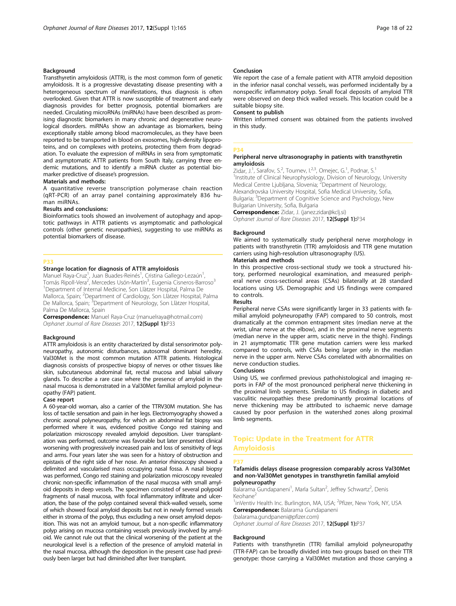#### Background

Transthyretin amyloidosis (ATTR), is the most common form of genetic amyloidosis. It is a progressive devastating disease presenting with a heterogeneous spectrum of manifestations, thus diagnosis is often overlooked. Given that ATTR is now susceptible of treatment and early diagnosis provides for better prognosis, potential biomarkers are needed. Circulating microRNAs (miRNAs) have been described as promising diagnostic biomarkers in many chronic and degenerative neurological disorders. miRNAs show an advantage as biomarkers, being exceptionally stable among blood macromolecules, as they have been reported to be transported in blood on exosomes, high-density lipoproteins, and on complexes with proteins, protecting them from degradation. To evaluate the expression of miRNAs in sera from symptomatic and asymptomatic ATTR patients from South Italy, carrying three endemic mutations, and to identify a miRNA cluster as potential biomarker predictive of disease's progression.

#### Materials and methods:

A quantitative reverse transcription polymerase chain reaction (qRT-PCR) of an array panel containing approximately 836 human miRNAs.

#### Results and conclusions:

Bioinformatics tools showed an involvement of autophagy and apoptotic pathways in ATTR patients vs asymptomatic and pathological controls (other genetic neuropathies), suggesting to use miRNAs as potential biomarkers of disease.

#### P33

#### Strange location for diagnosis of ATTR amyloidosis

Manuel Raya-Cruz<sup>1</sup>, Juan Buades-Reinés<sup>1</sup>, Cristina Gallego-Lezaún<sup>1</sup> , Tomás Ripoll-Vera<sup>2</sup>, Mercedes Usón-Martín<sup>3</sup>, Eugenia Cisneros-Barroso<sup>3</sup> 1 Department of Internal Medicine, Son Llàtzer Hospital, Palma De Mallorca, Spain; <sup>2</sup>Department of Cardiology, Son Llàtzer Hospital, Palma De Mallorca, Spain; <sup>3</sup>Department of Neurology, Son Llàtzer Hospital, Palma De Mallorca, Spain

Correspondence: Manuel Raya-Cruz (manuelraya@hotmail.com) Orphanet Journal of Rare Diseases 2017, 12(Suppl 1):P33

#### **Background**

ATTR amyloidosis is an entity characterized by distal sensorimotor polyneuropathy, autonomic disturbances, autosomal dominant heredity. Val30Met is the most common mutation ATTR patients. Histological diagnosis consists of prospective biopsy of nerves or other tissues like skin, subcutaneous abdominal fat, rectal mucosa and labial salivary glands. To describe a rare case where the presence of amyloid in the nasal mucosa is demonstrated in a Val30Met familial amyloid polyneuropathy (FAP) patient.

#### Case report

A 60-year-old woman, also a carrier of the TTRV30M mutation. She has loss of tactile sensation and pain in her legs. Electromyography showed a chronic axonal polyneuropathy, for which an abdominal fat biopsy was performed where it was, evidenced positive Congo red staining and polarization microscopy revealed amyloid deposition. Liver transplantation was performed, outcome was favorable but later presented clinical worsening with progressively increased pain and loss of sensitivity of legs and arms. Four years later she was seen for a history of obstruction and epistaxis of the right side of her nose. An anterior rhinoscopy showed a delimited and vascularised mass occupying nasal fossa. A nasal biopsy was performed, Congo red staining and polarization microscopy revealed chronic non-specific inflammation of the nasal mucosa with small amyloid deposits in deep vessels. The specimen consisted of several polypoid fragments of nasal mucosa, with focal inflammatory infiltrate and ulceration, the base of the polyp contained several thick-walled vessels, some of which showed focal amyloid deposits but not in newly formed vessels either in stroma of the polyp, thus excluding a new onset amyloid deposition. This was not an amyloid tumour, but a non-specific inflammatory polyp arising on mucosa containing vessels previously involved by amyloid. We cannot rule out that the clinical worsening of the patient at the neurological level is a reflection of the presence of amyloid material in the nasal mucosa, although the deposition in the present case had previously been larger but had diminished after liver transplant.

#### Conclusion

We report the case of a female patient with ATTR amyloid deposition in the inferior nasal conchal vessels, was performed incidentally by a nonspecific inflammatory polyp. Small focal deposits of amyloid TTR were observed on deep thick walled vessels. This location could be a suitable biopsy site.

#### Consent to publish

Written informed consent was obtained from the patients involved in this study.

### P34

#### Peripheral nerve ultrasonography in patients with transthyretin amyloidosis

Zidar, J.<sup>1</sup>, Sarafov, S.<sup>2</sup>, Tournev, I.<sup>2,3</sup>, Omejec, G.<sup>1</sup>, Podnar, S.<sup>1</sup> <sup>1</sup>Institute of Clinical Neurophysiology, Division of Neurology, University Medical Centre Ljubljana, Slovenia; <sup>2</sup>Department of Neurology, Alexandrovska University Hospital, Sofia Medical University, Sofia, Bulgaria; <sup>3</sup>Department of Cognitive Science and Psychology, New Bulgarian University, Sofia, Bulgaria Correspondence: Zidar, J. (janez.zidar@kclj.si)

Orphanet Journal of Rare Diseases 2017, 12(Suppl 1):P34

#### **Background**

We aimed to systematically study peripheral nerve morphology in patients with transthyretin (TTR) amyloidosis and TTR gene mutation carriers using high-resolution ultrasonography (US).

#### Materials and methods

In this prospective cross-sectional study we took a structured history, performed neurological examination, and measured peripheral nerve cross-sectional areas (CSAs) bilaterally at 28 standard locations using US. Demographic and US findings were compared to controls.

#### **Results**

Peripheral nerve CSAs were significantly larger in 33 patients with familial amyloid polyneuropathy (FAP) compared to 50 controls, most dramatically at the common entrapment sites (median nerve at the wrist, ulnar nerve at the elbow), and in the proximal nerve segments (median nerve in the upper arm, sciatic nerve in the thigh). Findings in 21 asymptomatic TTR gene mutation carriers were less marked compared to controls, with CSAs being larger only in the median nerve in the upper arm. Nerve CSAs correlated with abnormalities on nerve conduction studies.

#### Conclusions

Using US, we confirmed previous pathohistological and imaging reports in FAP of the most pronounced peripheral nerve thickening in the proximal limb segments. Similar to US findings in diabetic and vasculitic neuropathies these predominantly proximal locations of nerve thickening may be attributed to ischaemic nerve damage caused by poor perfusion in the watershed zones along proximal limb segments.

### Topic: Update in the Treatment for ATTR Amyloidosis

### P37

#### Tafamidis delays disease progression comparably across Val30Met and non-Val30Met genotypes in transthyretin familial amyloid polyneuropathy

.<br>Balarama Gundapaneni<sup>1</sup>, Marla Sultan<sup>2</sup>, Jeffrey Schwartz<sup>2</sup>, Denis Keohane<sup>-</sup>

<sup>1</sup>inVentiv Health Inc. Burlington, MA, USA; <sup>2</sup>Pfizer, New York, NY, USA **Correspondence: Balarama Gundapaneni** 

(balarama.gundpaneni@pfizer.com)

Orphanet Journal of Rare Diseases 2017, 12(Suppl 1):P37

#### Background

Patients with transthyretin (TTR) familial amyloid polyneuropathy (TTR-FAP) can be broadly divided into two groups based on their TTR genotype: those carrying a Val30Met mutation and those carrying a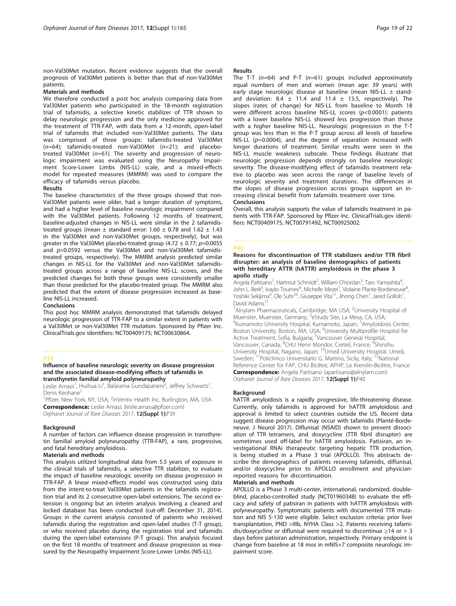non-Val30Met mutation. Recent evidence suggests that the overall prognosis of Val30Met patients is better than that of non-Val30Met patients.

#### Materials and methods

We therefore conducted a post hoc analysis comparing data from Val30Met patients who participated in the 18-month registration trial of tafamidis, a selective kinetic stabilizer of TTR shown to delay neurologic progression and the only medicine approved for the treatment of TTR-FAP, with data from a 12-month, open-label trial of tafamidis that included non-Val30Met patients. The data was comprised of three groups: tafamidis-treated Val30Met (n=64); tafamidis-treated non-Val30Met (n=21); and placebotreated Val30Met ( $n=61$ ). The severity and progression of neurologic impairment was evaluated using the Neuropathy Impairment Score-Lower Limbs (NIS-LL) scale, and a mixed-effects model for repeated measures (MMRM) was used to compare the efficacy of tafamidis versus placebo.

### Results

The baseline characteristics of the three groups showed that non-Val30Met patients were older, had a longer duration of symptoms, and had a higher level of baseline neurologic impairment compared with the Val30Met patients. Following 12 months of treatment, baseline-adjusted changes in NIS-LL were similar in the 2 tafamidistreated groups (mean  $\pm$  standard error: 1.60  $\pm$  0.78 and 1.62  $\pm$  1.43 in the Val30Met and non-Val30Met groups, respectively), but was greater in the Val30Met placebo-treated group (4.72  $\pm$  0.77; p=0.0055 and  $p=0.0592$  versus the Val30Met and non-Val30Met tafamidistreated groups, respectively). The MMRM analysis predicted similar changes in NIS-LL for the Val30Met and non-Val30Met tafamidistreated groups across a range of baseline NIS-LL scores, and the predicted changes for both these groups were consistently smaller than those predicted for the placebo-treated group. The MMRM also predicted that the extent of disease progression increased as baseline NIS-LL increased.

#### Conclusions

This post hoc MMRM analysis demonstrated that tafamidis delayed neurologic progression of TTR-FAP to a similar extent in patients with a Val30Met or non-Val30Met TTR mutation. Sponsored by Pfizer Inc. [ClinicalTrials.gov](http://clinicaltrials.gov) identifiers: NCT00409175; NCT00630864.

#### P39

#### Influence of baseline neurologic severity on disease progression and the associated disease-modifying effects of tafamidis in transthyretin familial amyloid polyneuropathy

Leslie Amass<sup>1</sup>, Huihua Li<sup>1</sup>, Balarama Gundapaneni<sup>2</sup>, Jeffrey Schwartz<sup>1</sup> , Denis Keohane<sup>1</sup>

<sup>1</sup>Pfizer, New York, NY, USA; <sup>2</sup>inVentiv Health Inc. Burlington, MA, USA Correspondence: Leslie Amass (leslie.amass@pfizer.com)

Orphanet Journal of Rare Diseases 2017, 12(Suppl 1):P39

#### Background

A number of factors can influence disease progression in transthyretin familial amyloid polyneuropathy (TTR-FAP), a rare, progressive, and fatal hereditary amyloidosis.

#### Materials and methods

This analysis utilized longitudinal data from 5.5 years of exposure in the clinical trials of tafamidis, a selective TTR stabilizer, to evaluate the impact of baseline neurologic severity on disease progression in TTR-FAP. A linear mixed-effects model was constructed using data from the intent-to-treat Val30Met patients in the tafamidis registration trial and its 2 consecutive open-label extensions. The second extension is ongoing but an interim analysis involving a cleaned and locked database has been conducted (cut-off: December 31, 2014). Groups in the current analysis consisted of patients who received tafamidis during the registration and open-label studies (T-T group), or who received placebo during the registration trial and tafamidis during the open-label extensions (P-T group). This analysis focused on the first 18 months of treatment and disease progression as measured by the Neuropathy Impairment Score-Lower Limbs (NIS-LL).

#### Results

The T-T  $(n=64)$  and P-T  $(n=61)$  groups included approximately equal numbers of men and women (mean age: 39 years) with early stage neurologic disease at baseline (mean NIS-LL ± standard deviation: 8.4  $\pm$  11.4 and 11.4  $\pm$  13.5, respectively). The slopes (rates of change) for NIS-LL from baseline to Month 18 were different across baseline NIS-LL scores (p<0.0001): patients with a lower baseline NIS-LL showed less progression than those with a higher baseline NIS-LL. Neurologic progression in the T-T group was less than in the P-T group across all levels of baseline NIS-LL ( $p=0.0004$ ), and the degree of separation increased with longer durations of treatment. Similar results were seen in the NIS-LL muscle weakness subscale. These findings illustrate that neurologic progression depends strongly on baseline neurologic severity. The disease-modifying effect of tafamidis treatment relative to placebo was seen across the range of baseline levels of neurologic severity and treatment durations. The differences in the slopes of disease progression across groups support an increasing clinical benefit from tafamidis treatment over time.

#### Conclusions

Overall, this analysis supports the value of tafamidis treatment in patients with TTR-FAP. Sponsored by Pfizer Inc. [ClinicalTrials.gov](http://clinicaltrials.gov) identifiers: NCT00409175, NCT00791492, NCT00925002.

#### P40

#### Reasons for discontinuation of TTR stabilizers and/or TTR fibril disrupter: an analysis of baseline demographics of patients with hereditary ATTR (hATTR) amyloidosis in the phase 3 apollo study

Angela Partisano<sup>1</sup>, Hartmut Schmidt<sup>2</sup>, William O'riordan<sup>3</sup>, Taro Yamashita<sup>4</sup> , John L. Berk<sup>5</sup>, Ivaylo Tournev<sup>6</sup>, Michelle Mezei<sup>7</sup>, Violaine Plante-Bordeneuve<sup>8</sup> , Yoshiki Sekijima<sup>9</sup>, Ole Suhr<sup>10</sup>, Giuseppe Vita<sup>11</sup>, Jihong Chen<sup>1</sup>, Jared Gollob<sup>1</sup> , David Adams<sup>12</sup>

<sup>1</sup> Alnylam Pharmaceuticals, Cambridge, MA USA; <sup>2</sup> University Hospital of Muenster, Muenster, Germany; <sup>3</sup>eStudy Site, La Mesa, CA, USA;<br><sup>4</sup>Kumamoto University Hospital, Kumamoto, Japan<sup>, 5</sup>Amyloido Kumamoto University Hospital, Kumamoto, Japan; <sup>5</sup>Amyloidosis Center Boston University, Boston, MA, USA; <sup>6</sup>University Multiprofile Hospital for Active Treatment, Sofia, Bulgaria; <sup>7</sup>Vancouver General Hospital, Vancouver, Canada; <sup>8</sup>CHU Henri Mondor, Creteil, France; <sup>9</sup>Shinshu University Hospital, Nagano, Japan; <sup>10</sup>Umeå University Hospital, Umeå Sweden; <sup>11</sup>Policlinico Universitario G. Martino, Sicily, Italy; <sup>12</sup>National Reference Center for FAP, CHU Bicêtre, APHP, Le Kremlin-Bicêtre, France Correspondence: Angela Partisano (apartisano@alnylam.com) Orphanet Journal of Rare Diseases 2017, 12(Suppl 1):P40

#### Background

hATTR amyloidosis is a rapidly progressive, life-threatening disease. Currently, only tafamidis is approved for hATTR amyloidosis and approval is limited to select countries outside the US. Recent data suggest disease progression may occur with tafamidis (Planté-Bordeneuve. J Neurol 2017). Diflunisal (NSAID) shown to prevent dissociation of TTR tetramers, and doxycycline (TTR fibril disrupter) are sometimes used off-label for hATTR amyloidosis. Patisiran, an investigational RNAi therapeutic targeting hepatic TTR production, is being studied in a Phase 3 trial (APOLLO). This abstracts describe the demographics of patients receiving tafamidis, diflunisal, and/or doxycycline prior to APOLLO enrollment and physicianreported reasons for discontinuation.

#### Materials and methods

APOLLO is a Phase 3 multi-center, international, randomized, doubleblind, placebo-controlled study (NCT01960348) to evaluate the efficacy and safety of patisiran in patients with hATTR amyloidosis with polyneuropathy. Symptomatic patients with documented TTR mutation and NIS 5-130 were eligible. Select exclusion criteria: prior liver transplantation, PND >IIIb, NYHA Class >2. Patients receiving tafamidis/doxycycline or diflunisal were required to discontinue ≥14 or > 3 days before patisiran administration, respectively. Primary endpoint is change from baseline at 18 mos in mNIS+7 composite neurologic impairment score.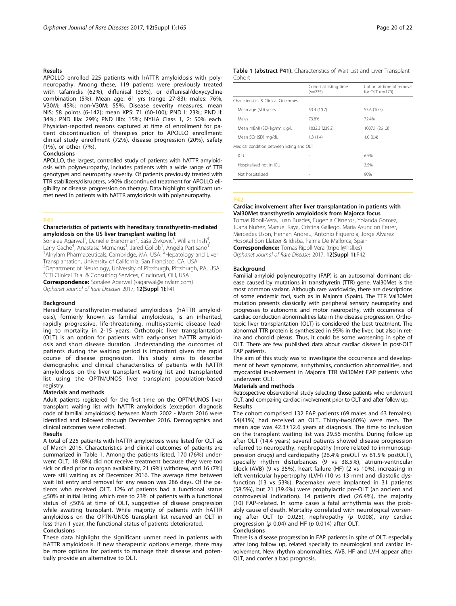#### Results

APOLLO enrolled 225 patients with hATTR amyloidosis with polyneuropathy. Among these, 119 patients were previously treated with tafamidis (62%), diflunisal (33%), or diflunisal/doxycycline combination (5%). Mean age: 61 yrs (range 27-83); males: 76%, V30M: 45%; non-V30M: 55%. Disease severity measures, mean NIS: 58 points (6-142); mean KPS: 71 (60-100); PND I: 23%; PND II: 34%; PND IIIa: 29%; PND IIIb: 15%; NYHA Class 1, 2: 50% each. Physician-reported reasons captured at time of enrollment for patient discontinuation of therapies prior to APOLLO enrollment: clinical study enrollment (72%), disease progression (20%), safety (1%), or other (7%).

#### Conclusions

APOLLO, the largest, controlled study of patients with hATTR amyloidosis with polyneuropathy, includes patients with a wide range of TTR genotypes and neuropathy severity. Of patients previously treated with TTR stabilizers/disrupters, >90% discontinued treatment for APOLLO eligibility or disease progression on therapy. Data highlight significant unmet need in patients with hATTR amyloidosis with polyneuropathy.

#### P41

#### Characteristics of patients with hereditary transthyretin-mediated amyloidosis on the US liver transplant waiting list

Sonalee Agarwal<sup>1</sup>, Danielle Brandman<sup>2</sup>, Saša Živkovic<sup>3</sup>, William Irish<sup>4</sup> , Larry Gache<sup>4</sup>, Anastasia Mcmanus<sup>1</sup>, Jared Gollob<sup>1</sup>, Angela Partisano<sup>1</sup> <sup>1</sup>Alnylam Pharmaceuticals, Cambridge, MA, USA; <sup>2</sup>Hepatology and Liver Transplantation, University of California, San Francisco, CA, USA; <sup>3</sup>Department of Neurology, University of Pittsburgh, Pittsburgh, PA, USA; 4 CTI Clinical Trial & Consulting Services, Cincinnati, OH, USA Correspondence: Sonalee Agarwal (sagarwal@alnylam.com) Orphanet Journal of Rare Diseases 2017, 12(Suppl 1):P41

#### Background

Hereditary transthyretin-mediated amyloidosis (hATTR amyloidosis), formerly known as familial amyloidosis, is an inherited, rapidly progressive, life-threatening, multisystemic disease leading to mortality in 2-15 years. Orthotopic liver transplantation (OLT) is an option for patients with early-onset hATTR amyloidosis and short disease duration. Understanding the outcomes of patients during the waiting period is important given the rapid course of disease progression. This study aims to describe demographic and clinical characteristics of patients with hATTR amyloidosis on the liver transplant waiting list and transplanted list using the OPTN/UNOS liver transplant population-based registry.

#### Materials and methods

Adult patients registered for the first time on the OPTN/UNOS liver transplant waiting list with hATTR amyloidosis (exception diagnosis code of familial amyloidosis) between March 2002 - March 2016 were identified and followed through December 2016. Demographics and clinical outcomes were collected.

#### Results

A total of 225 patients with hATTR amyloidosis were listed for OLT as of March 2016. Characteristics and clinical outcomes of patients are summarized in Table 1. Among the patients listed, 170 (76%) underwent OLT, 18 (8%) did not receive treatment because they were too sick or died prior to organ availability, 21 (9%) withdrew, and 16 (7%) were still waiting as of December 2016. The average time between wait list entry and removal for any reason was 286 days. Of the patients who received OLT, 12% of patients had a functional status ≤50% at initial listing which rose to 23% of patients with a functional status of ≤50% at time of OLT, suggestive of disease progression while awaiting transplant. While majority of patients with hATTR amyloidosis on the OPTN/UNOS transplant list received an OLT in less than 1 year, the functional status of patients deteriorated. Conclusions

These data highlight the significant unmet need in patients with hATTR amyloidosis. If new therapeutic options emerge, there may be more options for patients to manage their disease and potentially provide an alternative to OLT.

Table 1 (abstract P41). Characteristics of Wait List and Liver Transplant Cohort

|                                           | Cohort at listing time<br>$(n=225)$ | Cohort at time of removal<br>for OLT $(n=170)$ |  |  |
|-------------------------------------------|-------------------------------------|------------------------------------------------|--|--|
| Characteristics & Clinical Outcomes       |                                     |                                                |  |  |
| Mean age (SD) years                       | 53.4 (10.7)                         | 53.6 (10.7)                                    |  |  |
| Males                                     | 73.8%                               | 72.4%                                          |  |  |
| Mean mBMI (SD) kg/m <sup>2</sup> x g/L    | 1032.3 (239.2)                      | 1007.1 (261.3)                                 |  |  |
| Mean SCr (SD) mg/dL                       | 1.3(1.4)                            | 1.0(0.4)                                       |  |  |
| Medical condition between listing and OLT |                                     |                                                |  |  |
| ICU                                       |                                     | 6.5%                                           |  |  |
| Hospitalized not in ICU                   |                                     | 3.5%                                           |  |  |
| Not hospitalized                          |                                     | 90%                                            |  |  |

#### P42

#### Cardiac involvement after liver transplantation in patients with Val30Met transthyretin amyloidosis from Majorca focus

Tomas Ripoll-Vera, Juan Buades, Eugenia Cisneros, Yolanda Gomez, Juana Nuñez, Manuel Raya, Cristina Gallego, Maria Asuncion Ferrer, Mercedes Uson, Hernan Andreu, Antonio Figuerola, Jorge Alvarez Hospital Son Llatzer & Idisba, Palma De Mallorca, Spain Correspondence: Tomas Ripoll-Vera (tripoll@hsll.es)

Orphanet Journal of Rare Diseases 2017, 12(Suppl 1):P42

#### Background

Familial amyloid polyneuropathy (FAP) is an autosomal dominant disease caused by mutations in transthyretin (TTR) gene. Val30Met is the most common variant. Although rare worldwide, there are descriptions of some endemic foci, such as in Majorca (Spain). The TTR Val30Met mutation presents classically with peripheral sensory neuropathy and progresses to autonomic and motor neuropathy, with occurrence of cardiac conduction abnormalities late in the disease progression. Orthotopic liver transplantation (OLT) is considered the best treatment. The abnormal TTR protein is synthesized in 95% in the liver, but also in retina and choroid plexus. Thus, it could be some worsening in spite of OLT. There are few published data about cardiac disease in post-OLT FAP patients.

The aim of this study was to investigate the occurrence and development of heart symptoms, arrhythmias, conduction abnormalities, and myocardial involvement in Majorca TTR Val30Met FAP patients who underwent OLT.

#### Materials and methods

Retrospective observational study selecting those patients who underwent OLT, and comparing cardiac involvement prior to OLT and after follow up. Results

The cohort comprised 132 FAP patients (69 males and 63 females). 54(41%) had received an OLT. Thirty-two(60%) were men. The mean age was 42.3±12.6 years at diagnosis. The time to inclusion on the transplant waiting list was 29.56 months. During follow up after OLT (14.4 years) several patients showed disease progression referred to neuropathy, nephropathy (more related to immunosuppression drugs) and cardiopathy (26.4% preOLT vs 61.5% postOLT), specially rhythm disturbances (9 vs 38.5%), atrium-ventricular block (AVB) (9 vs 35%), heart failure (HF) (2 vs 10%), increasing in left ventricular hypertrophy (LVH) (10 vs 13 mm) and diastolic dysfunction (13 vs 53%). Pacemaker were implanted in 31 patients (58.5%), but 21 (39.6%) were prophylactic pre-OLT (an ancient and controversial indication). 14 patients died (26.4%), the majority (10) FAP-related. In some cases a fatal arrhythmia was the probably cause of death. Mortality correlated with neurological worsening after OLT ( $p$  0.025), nephropathy ( $p$  0.008), any cardiac progression ( $p$  0.04) and HF ( $p$  0.014) after OLT.

#### Conclusions

There is a disease progression in FAP patients in spite of OLT, especially after long follow up, related specially to neurological and cardiac involvement. New rhythm abnormalities, AVB, HF and LVH appear after OLT, and confer a bad prognosis.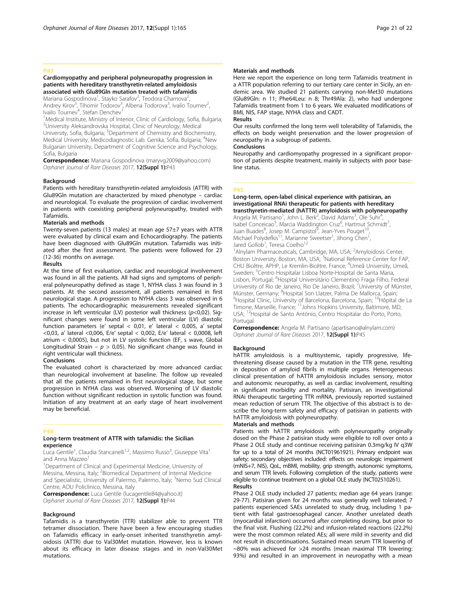#### P43

#### Cardiomyopathy and peripheral polyneuropathy progression in patients with hereditary transthyretin-related amyloidosis associated with Glu89Gln mutation treated with tafamidis

Mariana Gospodinova<sup>1</sup>, Stayko Sarafov<sup>2</sup>, Teodora Chamova<sup>2</sup> , Andrey Kirov<sup>3</sup>, Tihomir Todorov<sup>3</sup>, Albena Todorova<sup>3</sup>, Ivailo Tournev<sup>2</sup> , Ivailo Tournev<sup>4</sup>, Stefan Denchev<sup>1</sup>

<sup>1</sup>Medical Institute, Ministry of Interior, Clinic of Cardiology, Sofia, Bulgaria; 2 University Aleksandrovska Hospital, Clinic of Neurology, Medical University, Sofia, Bulgaria; <sup>3</sup>Department of Chemistry and Biochemistry, Medical University, Medicodiagnostic Lab. Genika, Sofia, Bulgaria; <sup>4</sup>New Bulgarian University, Department of Cognitive Science and Psychology, Sofia, Bulgaria

Correspondence: Mariana Gospodinova (maryvg2009@yahoo.com) Orphanet Journal of Rare Diseases 2017, 12(Suppl 1):P43

#### Background

Patients with hereditary transthyretin-related amyloidosis (ATTR) with Glu89Gln mutation are characterized by mixed phenotype – cardiac and neurological. To evaluate the progression of cardiac involvement in patients with coexisting peripheral polyneuropathy, treated with Tafamidis.

#### Materials and methods

Twenty-seven patients (13 males) at mean age 57±7 years with ATTR were evaluated by clinical exam and Echocardiography. The patients have been diagnosed with Glu89Gln mutation. Tafamidis was initiated after the first assessment. The patients were followed for 23 (12-36) months on average.

#### Results

At the time of first evaluation, cardiac and neurological involvement was found in all the patients. All had signs and symptoms of peripheral polyneuropathy defined as stage 1, NYHA class 3 was found in 3 patients. At the second assessment, all patients remained in first neurological stage. A progression to NYHA class 3 was observed in 6 patients. The echocardiographic measurements revealed significant increase in left ventricular (LV) posterior wall thickness ( $p$ <0,02). Significant changes were found in some left ventricular (LV) diastolic function parameters (e' septal < 0,01, e' lateral < 0,005, a' septal <0,03, a' lateral <0,006, E/e' septal < 0,002, E/e' lateral < 0,0008, left atrium < 0,0005), but not in LV systolic function (EF, s wave, Global Longitudinal Strain –  $p > 0.05$ ). No significant change was found in right ventricular wall thickness.

#### Conclusions

The evaluated cohort is characterized by more advanced cardiac than neurological involvement at baseline. The follow up revealed that all the patients remained in first neurological stage, but some progression in NYHA class was observed. Worsening of LV diastolic function without significant reduction in systolic function was found. Initiation of any treatment at an early stage of heart involvement may be beneficial.

#### **DAA**

#### Long-term treatment of ATTR with tafamidis: the Sicilian experience

Luca Gentile<sup>1</sup>, Claudia Stancanelli<sup>1,2</sup>, Massimo Russo<sup>3</sup>, Giuseppe Vita<sup>1</sup> and Anna Mazzeo<sup>1</sup>

<sup>1</sup>Department of Clinical and Experimental Medicine, University of Messina, Messina, Italy; <sup>2</sup>Biomedical Department of Internal Medicine and Specialistic, University of Palermo, Palermo, Italy; <sup>3</sup>Nemo Sud Clinical Centre, AOU Policlinico, Messina, Italy

Correspondence: Luca Gentile (lucagentile84@yahoo.it) Orphanet Journal of Rare Diseases 2017, 12(Suppl 1):P44

#### Background

Tafamidis is a transthyretin (TTR) stabilizer able to prevent TTR tetramer dissociation. There have been a few encouraging studies on Tafamidis efficacy in early-onset inherited transthyretin amyloidosis (ATTR) due to Val30Met mutation. However, less is known about its efficacy in later disease stages and in non-Val30Met mutations.

,

#### Materials and methods

Here we report the experience on long term Tafamidis treatment in a ATTR population referring to our tertiary care center in Sicily, an endemic area. We studied 21 patients carrying non-Met30 mutations (Glu89Gln: n 11; Phe64Leu: n 8; Thr49Ala: 2), who had undergone Tafamidis treatment from 1 to 6 years. We evaluated modifications of BMI, NIS, FAP stage, NYHA class and CADT.

### Results

Our results confirmed the long term well tolerability of Tafamidis, the effects on body weight preservation and the lower progression of neuropathy in a subgroup of patients.

### Conclusions

Neuropathy and cardiomyopathy progressed in a significant proportion of patients despite treatment, mainly in subjects with poor baseline status.

#### **P45**

#### Long-term, open-label clinical experience with patisiran, an investigational RNAi therapeutic for patients with hereditary transthyretin-mediated (hATTR) amyloidosis with polyneuropathy

Angela M. Partisano<sup>1</sup>, John L. Berk<sup>2</sup>, David Adams<sup>3</sup>, Ole Suhr<sup>4</sup> , Isabel Conceicao<sup>5</sup>, Marcia Waddington Cruz<sup>6</sup>, Hartmut Schmidt<sup>7</sup> Juan Buades<sup>8</sup>, Josep M. Campistol<sup>9</sup>, Jean-Yves Pouget<sup>10</sup> Michael Polydefkis<sup>11</sup>, Marianne Sweetser<sup>1</sup>, Jihong Chen<sup>1</sup> , Jared Gollob<sup>1</sup>, Teresa Coelho<sup>12</sup>

<sup>1</sup> Alnylam Pharmaceuticals, Cambridge, MA, USA; <sup>2</sup> Amyloidosis Center, Boston University, Boston, MA, USA; <sup>3</sup>National Reference Center for FAP, CHU Bicêtre, APHP, Le Kremlin-Bicêtre, France; <sup>4</sup>Umeå University, Umeå Sweden; <sup>5</sup>Centro Hospitalar Lisboa Norte-Hospital de Santa Maria Lisbon, Portugal; <sup>6</sup>Hospital Universitário Clementino Fraga Filho, Federal University of Rio de Janeiro, Rio De Janeiro, Brazil; <sup>7</sup>University of Münster, Münster, Germany; <sup>8</sup>Hospital Son Llatzer, Palma De Mallorca, Spain;<br><sup>9</sup>Hospital Clinic University of Barcolona, Barcolona, Spain; <sup>10</sup>Hônital <sup>9</sup>Hospital Clinic, University of Barcelona, Barcelona, Spain; <sup>10</sup>Hôpital de La Timone, Marseille, France; 11Johns Hopkins University, Baltimore, MD, USA; 12Hospital de Santo António, Centro Hospitalar do Porto, Porto, Portugal

Correspondence: Angela M. Partisano (apartisano@alnylam.com) Orphanet Journal of Rare Diseases 2017, 12(Suppl 1):P45

#### Background

hATTR amyloidosis is a multisystemic, rapidly progressive, lifethreatening disease caused by a mutation in the TTR gene, resulting in deposition of amyloid fibrils in multiple organs. Heterogeneous clinical presentation of hATTR amyloidosis includes sensory, motor and autonomic neuropathy, as well as cardiac involvement, resulting in significant morbidity and mortality. Patisiran, an investigational RNAi therapeutic targeting TTR mRNA, previously reported sustained mean reduction of serum TTR. The objective of this abstract is to describe the long-term safety and efficacy of patisiran in patients with hATTR amyloidosis with polyneuropathy.

#### Materials and methods

Patients with hATTR amyloidosis with polyneuropathy originally dosed on the Phase 2 patisiran study were eligible to roll over onto a Phase 2 OLE study and continue receiving patisiran 0.3mg/kg IV q3W for up to a total of 24 months (NCT01961921). Primary endpoint was safety; secondary objectives included: effects on neurologic impairment (mNIS+7, NIS), QoL, mBMI, mobility, grip strength, autonomic symptoms, and serum TTR levels. Following completion of the study, patients were eligible to continue treatment on a global OLE study (NCT02510261). Results

Phase 2 OLE study included 27 patients; median age 64 years (range: 29-77). Patisiran given for 24 months was generally well tolerated; 7 patients experienced SAEs unrelated to study drug, including 1 patient with fatal gastroesophageal cancer. Another unrelated death (myocardial infarction) occurred after completing dosing, but prior to the final visit. Flushing (22.2%) and infusion-related reactions (22.2%) were the most common related AEs; all were mild in severity and did not result in discontinuations. Sustained mean serum TTR lowering of ~80% was achieved for >24 months (mean maximal TTR lowering: 93%) and resulted in an improvement in neuropathy with a mean